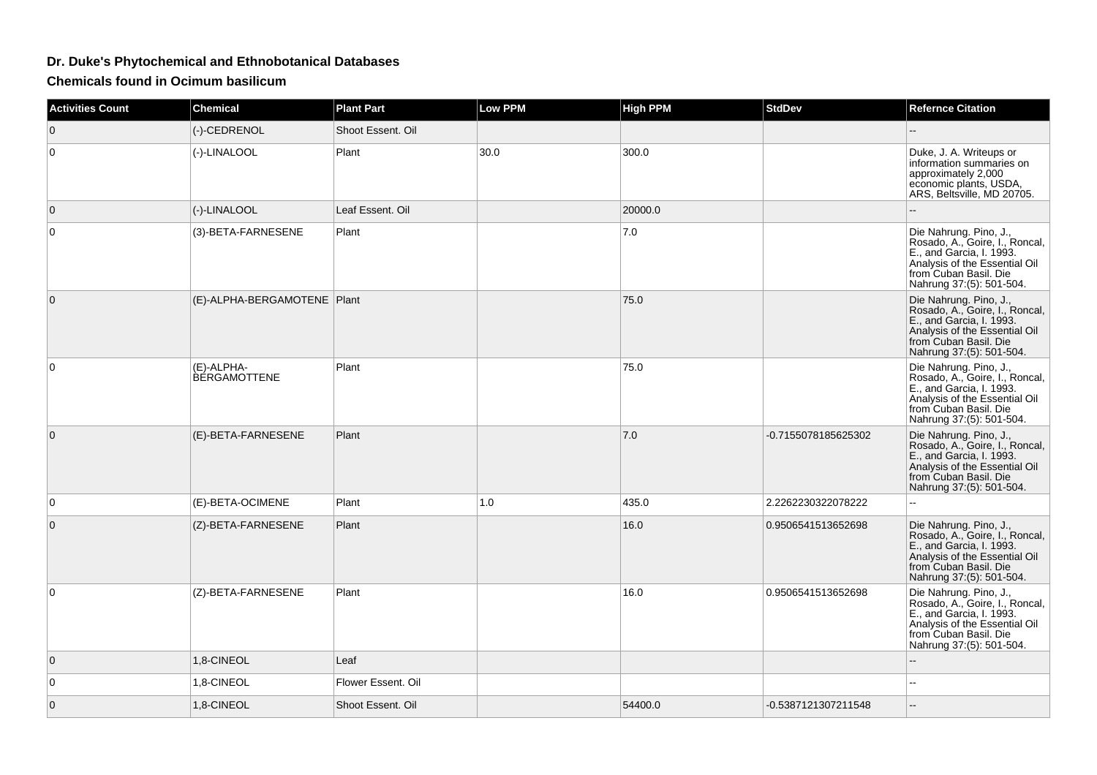## **Dr. Duke's Phytochemical and Ethnobotanical Databases**

**Chemicals found in Ocimum basilicum**

| <b>Activities Count</b> | <b>Chemical</b>                   | <b>Plant Part</b>  | <b>Low PPM</b> | <b>High PPM</b> | <b>StdDev</b>       | <b>Refernce Citation</b>                                                                                                                                                   |
|-------------------------|-----------------------------------|--------------------|----------------|-----------------|---------------------|----------------------------------------------------------------------------------------------------------------------------------------------------------------------------|
| $\mathbf 0$             | (-)-CEDRENOL                      | Shoot Essent. Oil  |                |                 |                     |                                                                                                                                                                            |
| $\mathbf 0$             | (-)-LINALOOL                      | Plant              | 30.0           | 300.0           |                     | Duke, J. A. Writeups or<br>information summaries on<br>approximately 2,000<br>economic plants, USDA,<br>ARS, Beltsville, MD 20705.                                         |
| $\mathbf{0}$            | (-)-LINALOOL                      | Leaf Essent, Oil   |                | 20000.0         |                     |                                                                                                                                                                            |
| 0                       | (3)-BETA-FARNESENE                | Plant              |                | 7.0             |                     | Die Nahrung. Pino, J.,<br>Rosado, A., Goire, I., Roncal,<br>E., and Garcia, I. 1993.<br>Analysis of the Essential Oil<br>from Cuban Basil. Die<br>Nahrung 37:(5): 501-504. |
| $\mathbf{0}$            | (E)-ALPHA-BERGAMOTENE   Plant     |                    |                | 75.0            |                     | Die Nahrung. Pino, J.,<br>Rosado, A., Goire, I., Roncal,<br>E., and Garcia, I. 1993.<br>Analysis of the Essential Oil<br>from Cuban Basil. Die<br>Nahrung 37:(5): 501-504. |
| $\mathbf 0$             | (E)-ALPHA-<br><b>BERGAMOTTENE</b> | Plant              |                | 75.0            |                     | Die Nahrung. Pino, J.,<br>Rosado, A., Goire, I., Roncal,<br>E., and Garcia, I. 1993.<br>Analysis of the Essential Oil<br>from Cuban Basil. Die<br>Nahrung 37:(5): 501-504. |
| $\mathbf 0$             | (E)-BETA-FARNESENE                | Plant              |                | 7.0             | -0.7155078185625302 | Die Nahrung. Pino, J.,<br>Rosado, A., Goire, I., Roncal,<br>E., and Garcia, I. 1993.<br>Analysis of the Essential Oil<br>from Cuban Basil. Die<br>Nahrung 37:(5): 501-504. |
| $\mathbf 0$             | (E)-BETA-OCIMENE                  | Plant              | 1.0            | 435.0           | 2.2262230322078222  |                                                                                                                                                                            |
| $\mathbf 0$             | (Z)-BETA-FARNESENE                | Plant              |                | 16.0            | 0.9506541513652698  | Die Nahrung. Pino, J.,<br>Rosado, A., Goire, I., Roncal,<br>E., and Garcia, I. 1993.<br>Analysis of the Essential Oil<br>from Cuban Basil. Die<br>Nahrung 37:(5): 501-504. |
| $\mathbf 0$             | (Z)-BETA-FARNESENE                | Plant              |                | 16.0            | 0.9506541513652698  | Die Nahrung. Pino, J.,<br>Rosado, A., Goire, I., Roncal,<br>E., and Garcia, I. 1993.<br>Analysis of the Essential Oil<br>from Cuban Basil. Die<br>Nahrung 37:(5): 501-504. |
| 0                       | 1,8-CINEOL                        | Leaf               |                |                 |                     | --                                                                                                                                                                         |
| 0                       | 1,8-CINEOL                        | Flower Essent. Oil |                |                 |                     |                                                                                                                                                                            |
| $\mathbf 0$             | 1,8-CINEOL                        | Shoot Essent. Oil  |                | 54400.0         | -0.5387121307211548 |                                                                                                                                                                            |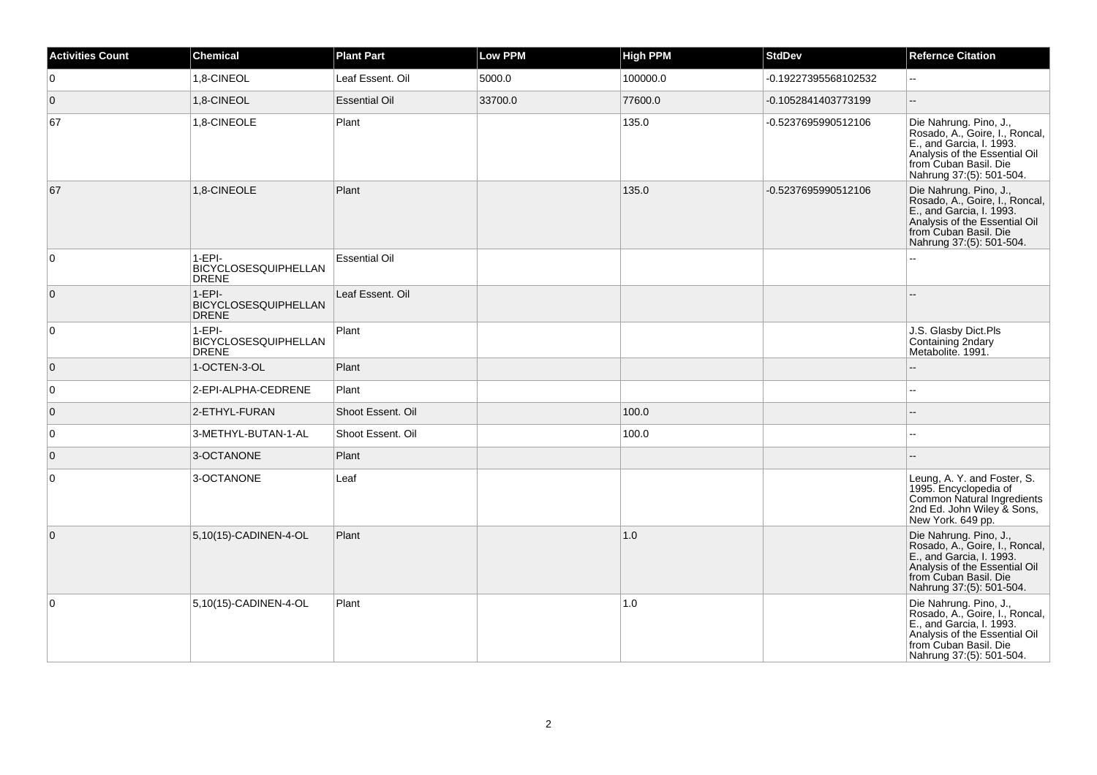| <b>Activities Count</b> | <b>Chemical</b>                                  | <b>Plant Part</b>    | Low PPM | <b>High PPM</b> | <b>StdDev</b>        | <b>Refernce Citation</b>                                                                                                                                                   |
|-------------------------|--------------------------------------------------|----------------------|---------|-----------------|----------------------|----------------------------------------------------------------------------------------------------------------------------------------------------------------------------|
| $\mathbf 0$             | 1,8-CINEOL                                       | Leaf Essent. Oil     | 5000.0  | 100000.0        | -0.19227395568102532 | L.                                                                                                                                                                         |
| $\overline{0}$          | 1,8-CINEOL                                       | <b>Essential Oil</b> | 33700.0 | 77600.0         | -0.1052841403773199  |                                                                                                                                                                            |
| 67                      | 1,8-CINEOLE                                      | Plant                |         | 135.0           | -0.5237695990512106  | Die Nahrung. Pino, J.,<br>Rosado, A., Goire, I., Roncal,<br>E., and Garcia, I. 1993.<br>Analysis of the Essential Oil<br>from Cuban Basil. Die<br>Nahrung 37:(5): 501-504. |
| 67                      | 1,8-CINEOLE                                      | Plant                |         | 135.0           | -0.5237695990512106  | Die Nahrung. Pino, J.,<br>Rosado, A., Goire, I., Roncal,<br>E., and Garcia, I. 1993.<br>Analysis of the Essential Oil<br>from Cuban Basil. Die<br>Nahrung 37:(5): 501-504. |
| $\mathbf 0$             | $1-EPI-$<br>BICYCLOSESQUIPHELLAN<br><b>DRENE</b> | <b>Essential Oil</b> |         |                 |                      |                                                                                                                                                                            |
| $\mathbf 0$             | $1-EPI-$<br>BICYCLOSESQUIPHELLAN<br><b>DRENE</b> | Leaf Essent. Oil     |         |                 |                      |                                                                                                                                                                            |
| $\mathbf 0$             | $1-EPI-$<br>BICYCLOSESQUIPHELLAN<br><b>DRENE</b> | Plant                |         |                 |                      | J.S. Glasby Dict.Pls<br>Containing 2ndary<br>Metabolite. 1991.                                                                                                             |
| $\overline{0}$          | 1-OCTEN-3-OL                                     | Plant                |         |                 |                      |                                                                                                                                                                            |
| $\mathbf 0$             | 2-EPI-ALPHA-CEDRENE                              | Plant                |         |                 |                      |                                                                                                                                                                            |
| $\mathbf 0$             | 2-ETHYL-FURAN                                    | Shoot Essent. Oil    |         | 100.0           |                      |                                                                                                                                                                            |
| $\mathbf 0$             | 3-METHYL-BUTAN-1-AL                              | Shoot Essent. Oil    |         | 100.0           |                      |                                                                                                                                                                            |
| $\mathbf 0$             | 3-OCTANONE                                       | Plant                |         |                 |                      |                                                                                                                                                                            |
| 0                       | 3-OCTANONE                                       | Leaf                 |         |                 |                      | Leung, A. Y. and Foster, S.<br>1995. Encyclopedia of<br>Common Natural Ingredients<br>2nd Ed. John Wiley & Sons,<br>New York. 649 pp.                                      |
| $\overline{0}$          | 5,10(15)-CADINEN-4-OL                            | Plant                |         | 1.0             |                      | Die Nahrung. Pino, J.,<br>Rosado, A., Goire, I., Roncal,<br>E., and Garcia, I. 1993.<br>Analysis of the Essential Oil<br>from Cuban Basil. Die<br>Nahrung 37:(5): 501-504. |
| $\mathbf 0$             | 5,10(15)-CADINEN-4-OL                            | Plant                |         | 1.0             |                      | Die Nahrung. Pino, J.,<br>Rosado, A., Goire, I., Roncal,<br>E., and Garcia, I. 1993.<br>Analysis of the Essential Oil<br>from Cuban Basil. Die<br>Nahrung 37:(5): 501-504. |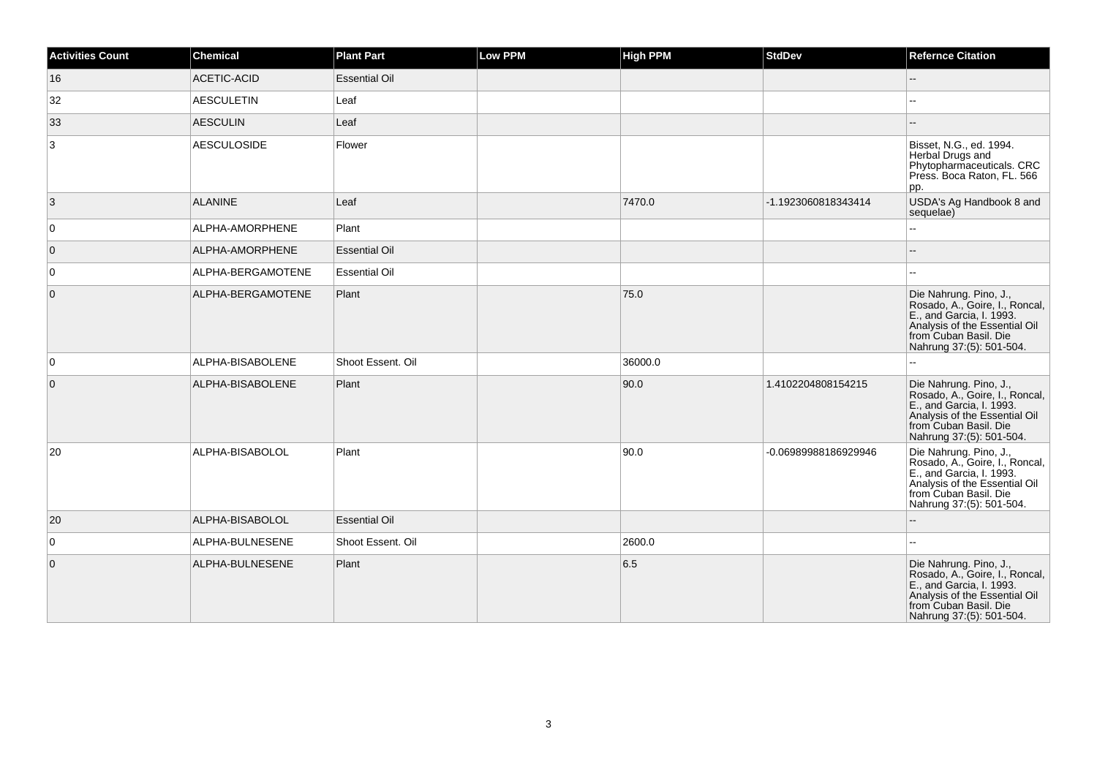| <b>Activities Count</b> | <b>Chemical</b>    | <b>Plant Part</b>    | <b>Low PPM</b> | <b>High PPM</b> | <b>StdDev</b>        | <b>Refernce Citation</b>                                                                                                                                                   |
|-------------------------|--------------------|----------------------|----------------|-----------------|----------------------|----------------------------------------------------------------------------------------------------------------------------------------------------------------------------|
| 16                      | <b>ACETIC-ACID</b> | <b>Essential Oil</b> |                |                 |                      | --                                                                                                                                                                         |
| 32                      | <b>AESCULETIN</b>  | Leaf                 |                |                 |                      |                                                                                                                                                                            |
| 33                      | <b>AESCULIN</b>    | Leaf                 |                |                 |                      |                                                                                                                                                                            |
| 3                       | <b>AESCULOSIDE</b> | Flower               |                |                 |                      | Bisset, N.G., ed. 1994.<br>Herbal Drugs and<br>Phytopharmaceuticals. CRC<br>Press. Boca Raton, FL. 566<br>pp.                                                              |
| 3                       | <b>ALANINE</b>     | Leaf                 |                | 7470.0          | -1.1923060818343414  | USDA's Ag Handbook 8 and<br>sequelae)                                                                                                                                      |
| $\overline{0}$          | ALPHA-AMORPHENE    | Plant                |                |                 |                      | ż,                                                                                                                                                                         |
| $\overline{0}$          | ALPHA-AMORPHENE    | <b>Essential Oil</b> |                |                 |                      |                                                                                                                                                                            |
| $\overline{0}$          | ALPHA-BERGAMOTENE  | <b>Essential Oil</b> |                |                 |                      | шш.                                                                                                                                                                        |
| $\overline{0}$          | ALPHA-BERGAMOTENE  | Plant                |                | 75.0            |                      | Die Nahrung. Pino, J.,<br>Rosado, A., Goire, I., Roncal,<br>E., and Garcia, I. 1993.<br>Analysis of the Essential Oil<br>from Cuban Basil. Die<br>Nahrung 37:(5): 501-504. |
| 0                       | ALPHA-BISABOLENE   | Shoot Essent. Oil    |                | 36000.0         |                      | L.                                                                                                                                                                         |
| $\overline{0}$          | ALPHA-BISABOLENE   | Plant                |                | 90.0            | 1.4102204808154215   | Die Nahrung. Pino, J.,<br>Rosado, A., Goire, I., Roncal,<br>E., and Garcia, I. 1993.<br>Analysis of the Essential Oil<br>from Cuban Basil. Die<br>Nahrung 37:(5): 501-504. |
| 20                      | ALPHA-BISABOLOL    | Plant                |                | 90.0            | -0.06989988186929946 | Die Nahrung. Pino, J.,<br>Rosado, A., Goire, I., Roncal,<br>E., and Garcia, I. 1993.<br>Analysis of the Essential Oil<br>from Cuban Basil. Die<br>Nahrung 37:(5): 501-504. |
| 20                      | ALPHA-BISABOLOL    | <b>Essential Oil</b> |                |                 |                      |                                                                                                                                                                            |
| $\overline{0}$          | ALPHA-BULNESENE    | Shoot Essent. Oil    |                | 2600.0          |                      | шш.                                                                                                                                                                        |
| $\overline{0}$          | ALPHA-BULNESENE    | Plant                |                | 6.5             |                      | Die Nahrung. Pino, J.,<br>Rosado, A., Goire, I., Roncal,<br>E., and Garcia, I. 1993.<br>Analysis of the Essential Oil<br>from Cuban Basil. Die<br>Nahrung 37:(5): 501-504. |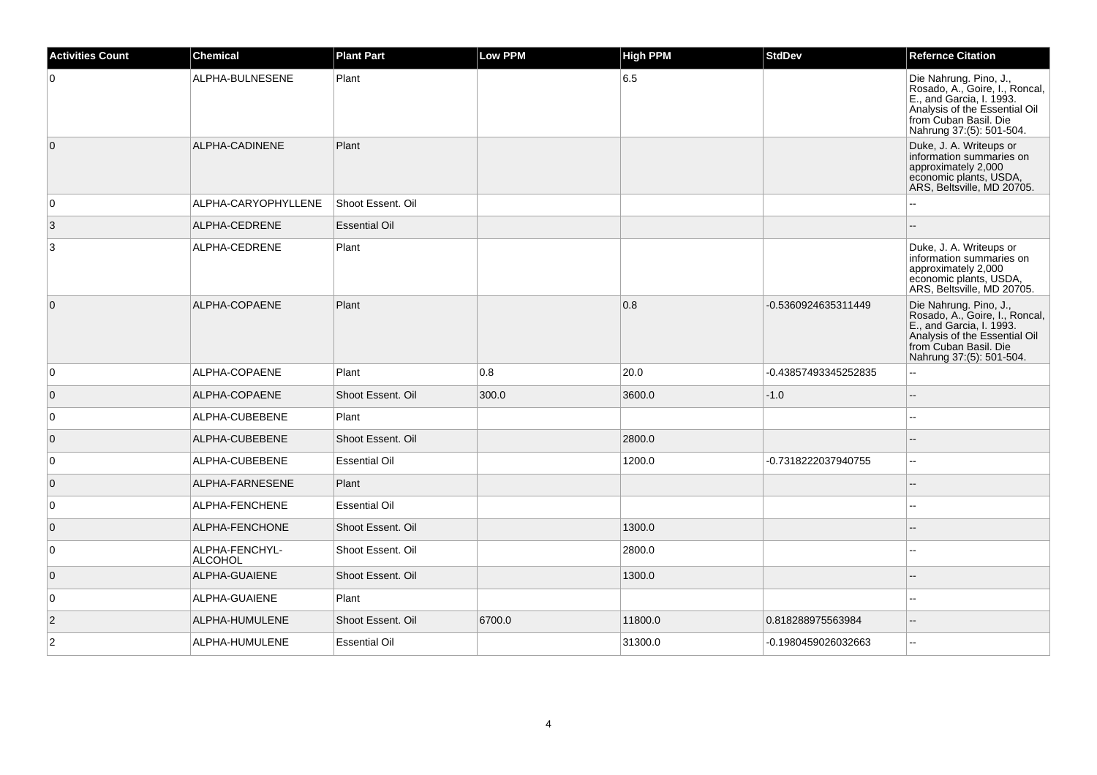| <b>Activities Count</b> | <b>Chemical</b>           | <b>Plant Part</b>    | <b>Low PPM</b> | <b>High PPM</b> | <b>StdDev</b>        | <b>Refernce Citation</b>                                                                                                                                                   |
|-------------------------|---------------------------|----------------------|----------------|-----------------|----------------------|----------------------------------------------------------------------------------------------------------------------------------------------------------------------------|
| $\overline{0}$          | ALPHA-BULNESENE           | Plant                |                | 6.5             |                      | Die Nahrung. Pino, J.,<br>Rosado, A., Goire, I., Roncal,<br>E., and Garcia, I. 1993.<br>Analysis of the Essential Oil<br>from Cuban Basil. Die<br>Nahrung 37:(5): 501-504. |
| $\overline{0}$          | ALPHA-CADINENE            | Plant                |                |                 |                      | Duke, J. A. Writeups or<br>information summaries on<br>approximately 2,000<br>economic plants, USDA,<br>ARS, Beltsville, MD 20705.                                         |
| $\overline{0}$          | ALPHA-CARYOPHYLLENE       | Shoot Essent. Oil    |                |                 |                      |                                                                                                                                                                            |
| 3                       | ALPHA-CEDRENE             | <b>Essential Oil</b> |                |                 |                      | $\sim$                                                                                                                                                                     |
| $\mathbf{3}$            | ALPHA-CEDRENE             | Plant                |                |                 |                      | Duke, J. A. Writeups or<br>information summaries on<br>approximately 2,000<br>economic plants, USDA,<br>ARS, Beltsville, MD 20705.                                         |
| $\overline{0}$          | ALPHA-COPAENE             | Plant                |                | 0.8             | -0.5360924635311449  | Die Nahrung. Pino, J.,<br>Rosado, A., Goire, I., Roncal,<br>E., and Garcia, I. 1993.<br>Analysis of the Essential Oil<br>from Cuban Basil. Die<br>Nahrung 37:(5): 501-504. |
| $\overline{0}$          | ALPHA-COPAENE             | Plant                | 0.8            | 20.0            | -0.43857493345252835 | $\overline{a}$                                                                                                                                                             |
| $\overline{0}$          | ALPHA-COPAENE             | Shoot Essent. Oil    | 300.0          | 3600.0          | $-1.0$               |                                                                                                                                                                            |
| $\overline{0}$          | ALPHA-CUBEBENE            | Plant                |                |                 |                      | ÷.                                                                                                                                                                         |
| $\overline{0}$          | ALPHA-CUBEBENE            | Shoot Essent, Oil    |                | 2800.0          |                      |                                                                                                                                                                            |
| $\overline{0}$          | ALPHA-CUBEBENE            | <b>Essential Oil</b> |                | 1200.0          | -0.7318222037940755  |                                                                                                                                                                            |
| $\overline{0}$          | ALPHA-FARNESENE           | Plant                |                |                 |                      |                                                                                                                                                                            |
| $\overline{0}$          | ALPHA-FENCHENE            | <b>Essential Oil</b> |                |                 |                      |                                                                                                                                                                            |
| $\overline{0}$          | ALPHA-FENCHONE            | Shoot Essent. Oil    |                | 1300.0          |                      |                                                                                                                                                                            |
| $\overline{0}$          | ALPHA-FENCHYL-<br>ALCOHOL | Shoot Essent. Oil    |                | 2800.0          |                      | --                                                                                                                                                                         |
| $\overline{0}$          | ALPHA-GUAIENE             | Shoot Essent. Oil    |                | 1300.0          |                      |                                                                                                                                                                            |
| $\overline{0}$          | ALPHA-GUAIENE             | Plant                |                |                 |                      | $\sim$                                                                                                                                                                     |
| $\vert$ 2               | ALPHA-HUMULENE            | Shoot Essent. Oil    | 6700.0         | 11800.0         | 0.818288975563984    | $\sim$                                                                                                                                                                     |
| $\overline{2}$          | ALPHA-HUMULENE            | <b>Essential Oil</b> |                | 31300.0         | -0.1980459026032663  | $\sim$                                                                                                                                                                     |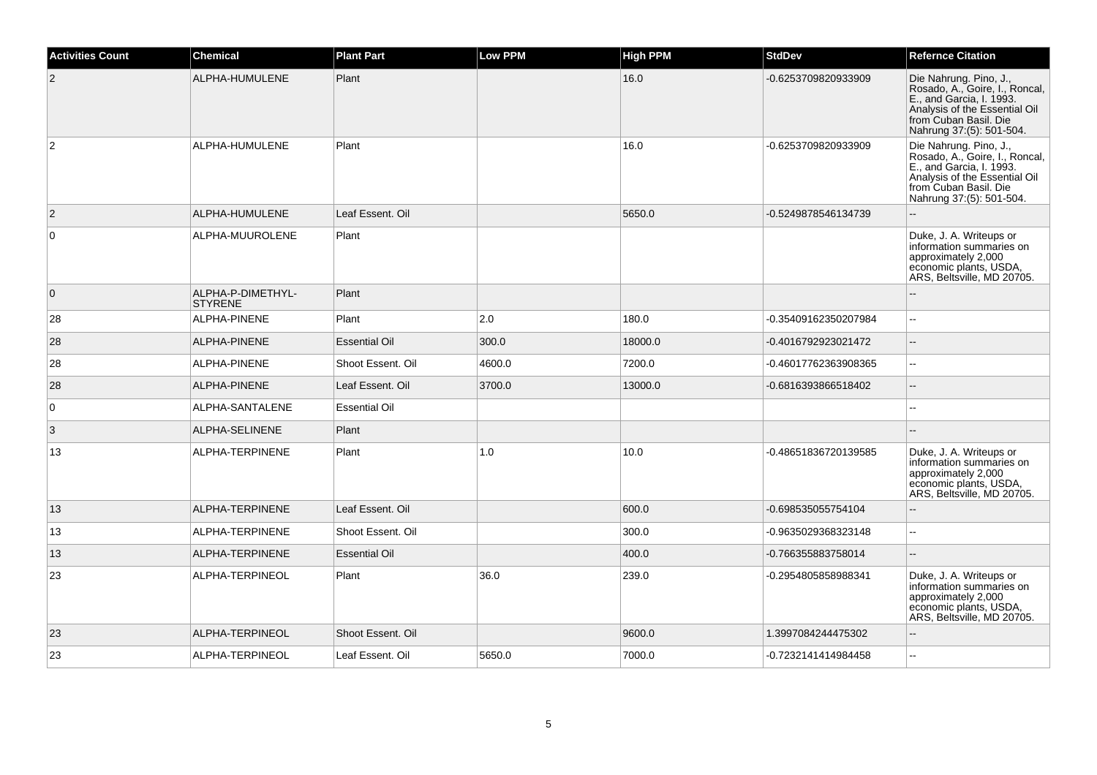| <b>Activities Count</b> | <b>Chemical</b>                     | <b>Plant Part</b>    | <b>Low PPM</b> | <b>High PPM</b> | <b>StdDev</b>        | <b>Refernce Citation</b>                                                                                                                                                   |
|-------------------------|-------------------------------------|----------------------|----------------|-----------------|----------------------|----------------------------------------------------------------------------------------------------------------------------------------------------------------------------|
| $\overline{2}$          | ALPHA-HUMULENE                      | Plant                |                | 16.0            | -0.6253709820933909  | Die Nahrung. Pino, J.,<br>Rosado, A., Goire, I., Roncal,<br>E., and Garcia, I. 1993.<br>Analysis of the Essential Oil<br>from Cuban Basil. Die<br>Nahrung 37:(5): 501-504. |
| $\overline{2}$          | ALPHA-HUMULENE                      | Plant                |                | 16.0            | -0.6253709820933909  | Die Nahrung. Pino, J.,<br>Rosado, A., Goire, I., Roncal,<br>E., and Garcia, I. 1993.<br>Analysis of the Essential Oil<br>from Cuban Basil. Die<br>Nahrung 37:(5): 501-504. |
| $\overline{2}$          | ALPHA-HUMULENE                      | Leaf Essent. Oil     |                | 5650.0          | -0.5249878546134739  | ÷.                                                                                                                                                                         |
| $\mathbf 0$             | ALPHA-MUUROLENE                     | Plant                |                |                 |                      | Duke, J. A. Writeups or<br>information summaries on<br>approximately 2,000<br>economic plants, USDA,<br>ARS, Beltsville, MD 20705.                                         |
| $\overline{0}$          | ALPHA-P-DIMETHYL-<br><b>STYRENE</b> | Plant                |                |                 |                      |                                                                                                                                                                            |
| 28                      | ALPHA-PINENE                        | Plant                | 2.0            | 180.0           | -0.35409162350207984 |                                                                                                                                                                            |
| 28                      | ALPHA-PINENE                        | <b>Essential Oil</b> | 300.0          | 18000.0         | -0.4016792923021472  | $\sim$                                                                                                                                                                     |
| 28                      | <b>ALPHA-PINENE</b>                 | Shoot Essent. Oil    | 4600.0         | 7200.0          | -0.46017762363908365 | $\mathbf{u}$                                                                                                                                                               |
| 28                      | ALPHA-PINENE                        | Leaf Essent. Oil     | 3700.0         | 13000.0         | -0.6816393866518402  |                                                                                                                                                                            |
| $\mathbf 0$             | ALPHA-SANTALENE                     | <b>Essential Oil</b> |                |                 |                      |                                                                                                                                                                            |
| 3                       | ALPHA-SELINENE                      | Plant                |                |                 |                      |                                                                                                                                                                            |
| 13                      | ALPHA-TERPINENE                     | Plant                | 1.0            | 10.0            | -0.48651836720139585 | Duke, J. A. Writeups or<br>information summaries on<br>approximately 2,000<br>economic plants, USDA,<br>ARS, Beltsville, MD 20705.                                         |
| 13                      | ALPHA-TERPINENE                     | Leaf Essent. Oil     |                | 600.0           | -0.698535055754104   | $\sim$                                                                                                                                                                     |
| 13                      | ALPHA-TERPINENE                     | Shoot Essent, Oil    |                | 300.0           | -0.9635029368323148  | ш.                                                                                                                                                                         |
| 13                      | ALPHA-TERPINENE                     | <b>Essential Oil</b> |                | 400.0           | -0.766355883758014   | $\sim$                                                                                                                                                                     |
| 23                      | ALPHA-TERPINEOL                     | Plant                | 36.0           | 239.0           | -0.2954805858988341  | Duke, J. A. Writeups or<br>information summaries on<br>approximately 2,000<br>economic plants, USDA,<br>ARS, Beltsville, MD 20705.                                         |
| 23                      | ALPHA-TERPINEOL                     | Shoot Essent. Oil    |                | 9600.0          | 1.3997084244475302   |                                                                                                                                                                            |
| 23                      | ALPHA-TERPINEOL                     | Leaf Essent. Oil     | 5650.0         | 7000.0          | -0.7232141414984458  |                                                                                                                                                                            |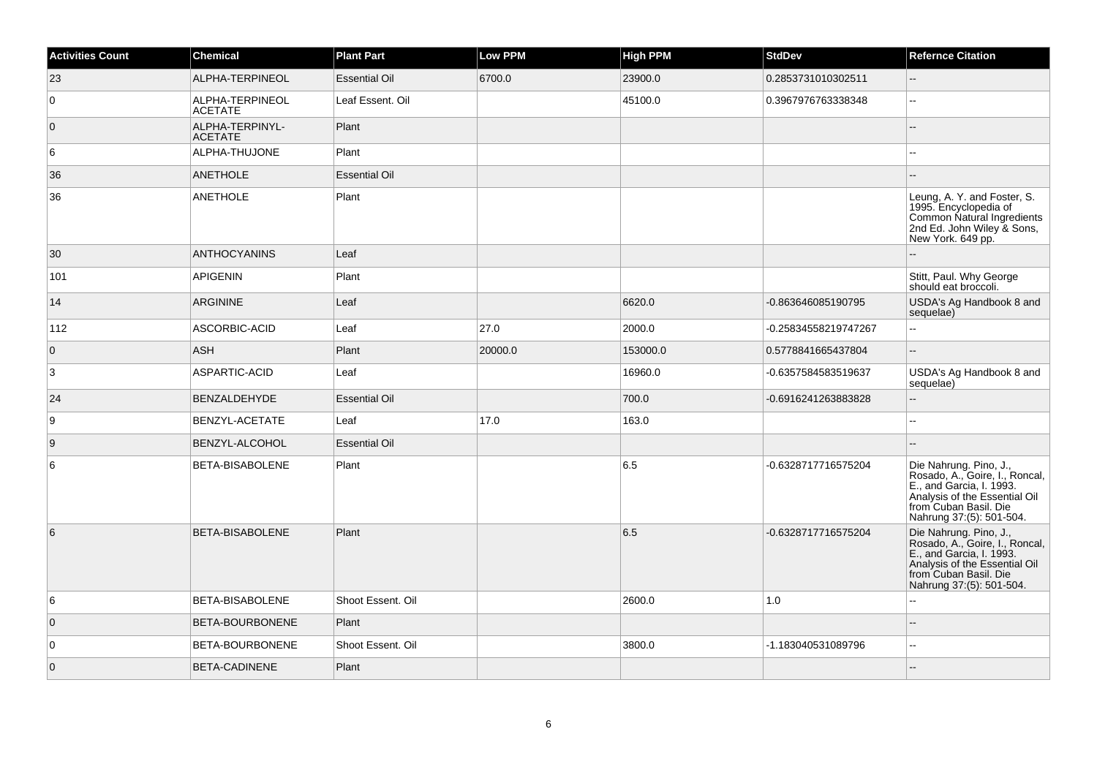| <b>Activities Count</b> | <b>Chemical</b>                   | <b>Plant Part</b>    | <b>Low PPM</b> | <b>High PPM</b> | <b>StdDev</b>        | <b>Refernce Citation</b>                                                                                                                                                   |
|-------------------------|-----------------------------------|----------------------|----------------|-----------------|----------------------|----------------------------------------------------------------------------------------------------------------------------------------------------------------------------|
| 23                      | ALPHA-TERPINEOL                   | <b>Essential Oil</b> | 6700.0         | 23900.0         | 0.2853731010302511   | ш,                                                                                                                                                                         |
| $\overline{0}$          | ALPHA-TERPINEOL<br><b>ACETATE</b> | Leaf Essent. Oil     |                | 45100.0         | 0.3967976763338348   | $\overline{\phantom{a}}$                                                                                                                                                   |
| $\overline{0}$          | ALPHA-TERPINYL-<br><b>ACETATE</b> | Plant                |                |                 |                      |                                                                                                                                                                            |
| 6                       | ALPHA-THUJONE                     | Plant                |                |                 |                      |                                                                                                                                                                            |
| 36                      | <b>ANETHOLE</b>                   | <b>Essential Oil</b> |                |                 |                      |                                                                                                                                                                            |
| 36                      | <b>ANETHOLE</b>                   | Plant                |                |                 |                      | Leung, A. Y. and Foster, S.<br>1995. Encyclopedia of<br>Common Natural Ingredients<br>2nd Ed. John Wiley & Sons,<br>New York. 649 pp.                                      |
| 30                      | <b>ANTHOCYANINS</b>               | Leaf                 |                |                 |                      |                                                                                                                                                                            |
| 101                     | <b>APIGENIN</b>                   | Plant                |                |                 |                      | Stitt, Paul. Why George<br>should eat broccoli.                                                                                                                            |
| 14                      | <b>ARGININE</b>                   | Leaf                 |                | 6620.0          | -0.863646085190795   | USDA's Ag Handbook 8 and<br>sequelae)                                                                                                                                      |
| 112                     | ASCORBIC-ACID                     | Leaf                 | 27.0           | 2000.0          | -0.25834558219747267 | --                                                                                                                                                                         |
| $\overline{0}$          | <b>ASH</b>                        | Plant                | 20000.0        | 153000.0        | 0.5778841665437804   | L.                                                                                                                                                                         |
| 3                       | ASPARTIC-ACID                     | Leaf                 |                | 16960.0         | -0.6357584583519637  | USDA's Ag Handbook 8 and<br>sequelae)                                                                                                                                      |
| 24                      | BENZALDEHYDE                      | <b>Essential Oil</b> |                | 700.0           | -0.6916241263883828  | ш,                                                                                                                                                                         |
| 9                       | BENZYL-ACETATE                    | Leaf                 | 17.0           | 163.0           |                      | ÷÷.                                                                                                                                                                        |
| 9                       | BENZYL-ALCOHOL                    | <b>Essential Oil</b> |                |                 |                      |                                                                                                                                                                            |
| 6                       | BETA-BISABOLENE                   | Plant                |                | 6.5             | -0.6328717716575204  | Die Nahrung. Pino, J.,<br>Rosado, A., Goire, I., Roncal,<br>E., and Garcia, I. 1993.<br>Analysis of the Essential Oil<br>from Cuban Basil. Die<br>Nahrung 37:(5): 501-504. |
| 6                       | <b>BETA-BISABOLENE</b>            | Plant                |                | 6.5             | -0.6328717716575204  | Die Nahrung. Pino, J.,<br>Rosado, A., Goire, I., Roncal,<br>E., and Garcia, I. 1993.<br>Analysis of the Essential Oil<br>from Cuban Basil. Die<br>Nahrung 37:(5): 501-504. |
| 6                       | BETA-BISABOLENE                   | Shoot Essent. Oil    |                | 2600.0          | 1.0                  |                                                                                                                                                                            |
| $\overline{0}$          | BETA-BOURBONENE                   | Plant                |                |                 |                      | --                                                                                                                                                                         |
| $\overline{0}$          | BETA-BOURBONENE                   | Shoot Essent. Oil    |                | 3800.0          | -1.183040531089796   | $\overline{\phantom{a}}$                                                                                                                                                   |
| $\overline{0}$          | BETA-CADINENE                     | Plant                |                |                 |                      | $\overline{a}$                                                                                                                                                             |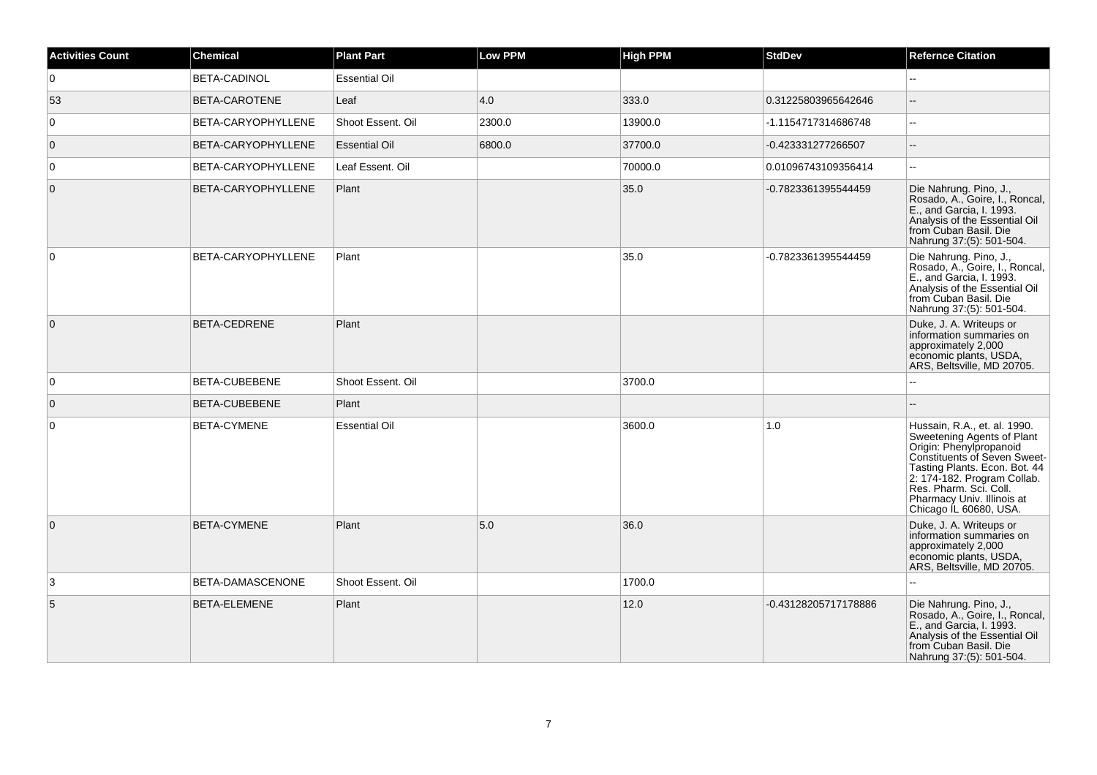| <b>Activities Count</b> | <b>Chemical</b>     | <b>Plant Part</b>    | <b>Low PPM</b> | <b>High PPM</b> | <b>StdDev</b>        | <b>Refernce Citation</b>                                                                                                                                                                                                                                                |
|-------------------------|---------------------|----------------------|----------------|-----------------|----------------------|-------------------------------------------------------------------------------------------------------------------------------------------------------------------------------------------------------------------------------------------------------------------------|
| $\overline{0}$          | <b>BETA-CADINOL</b> | <b>Essential Oil</b> |                |                 |                      |                                                                                                                                                                                                                                                                         |
| 53                      | BETA-CAROTENE       | Leaf                 | 4.0            | 333.0           | 0.31225803965642646  |                                                                                                                                                                                                                                                                         |
| $\overline{0}$          | BETA-CARYOPHYLLENE  | Shoot Essent, Oil    | 2300.0         | 13900.0         | -1.1154717314686748  | $\overline{\phantom{a}}$                                                                                                                                                                                                                                                |
| $\overline{0}$          | BETA-CARYOPHYLLENE  | <b>Essential Oil</b> | 6800.0         | 37700.0         | -0.423331277266507   | $-$                                                                                                                                                                                                                                                                     |
| 0                       | BETA-CARYOPHYLLENE  | Leaf Essent. Oil     |                | 70000.0         | 0.01096743109356414  | $-$                                                                                                                                                                                                                                                                     |
| $\overline{0}$          | BETA-CARYOPHYLLENE  | Plant                |                | 35.0            | -0.7823361395544459  | Die Nahrung. Pino, J.,<br>Rosado, A., Goire, I., Roncal,<br>E., and Garcia, I. 1993.<br>Analysis of the Essential Oil<br>from Cuban Basil. Die<br>Nahrung 37:(5): 501-504.                                                                                              |
| $\overline{0}$          | BETA-CARYOPHYLLENE  | Plant                |                | 35.0            | -0.7823361395544459  | Die Nahrung. Pino, J.,<br>Rosado, A., Goire, I., Roncal,<br>E., and Garcia, I. 1993.<br>Analysis of the Essential Oil<br>from Cuban Basil. Die<br>Nahrung 37:(5): 501-504.                                                                                              |
| $\overline{0}$          | BETA-CEDRENE        | Plant                |                |                 |                      | Duke, J. A. Writeups or<br>information summaries on<br>approximately 2,000<br>economic plants, USDA,<br>ARS, Beltsville, MD 20705.                                                                                                                                      |
| $\overline{0}$          | BETA-CUBEBENE       | Shoot Essent, Oil    |                | 3700.0          |                      |                                                                                                                                                                                                                                                                         |
| $\overline{0}$          | BETA-CUBEBENE       | Plant                |                |                 |                      |                                                                                                                                                                                                                                                                         |
| 0                       | BETA-CYMENE         | <b>Essential Oil</b> |                | 3600.0          | 1.0                  | Hussain, R.A., et. al. 1990.<br>Sweetening Agents of Plant<br>Origin: Phenylpropanoid<br>Constituents of Seven Sweet-<br>Tasting Plants. Econ. Bot. 44<br>2: 174-182. Program Collab.<br>Res. Pharm. Sci. Coll.<br>Pharmacy Univ. Illinois at<br>Chicago IL 60680, USA. |
| $\overline{0}$          | <b>BETA-CYMENE</b>  | Plant                | 5.0            | 36.0            |                      | Duke, J. A. Writeups or<br>information summaries on<br>approximately 2,000<br>economic plants, USDA,<br>ARS, Beltsville, MD 20705.                                                                                                                                      |
| 3                       | BETA-DAMASCENONE    | Shoot Essent. Oil    |                | 1700.0          |                      | $-$                                                                                                                                                                                                                                                                     |
| 5                       | BETA-ELEMENE        | Plant                |                | 12.0            | -0.43128205717178886 | Die Nahrung. Pino, J.,<br>Rosado, A., Goire, I., Roncal,<br>E., and Garcia, I. 1993.<br>Analysis of the Essential Oil<br>from Cuban Basil. Die<br>Nahrung 37:(5): 501-504.                                                                                              |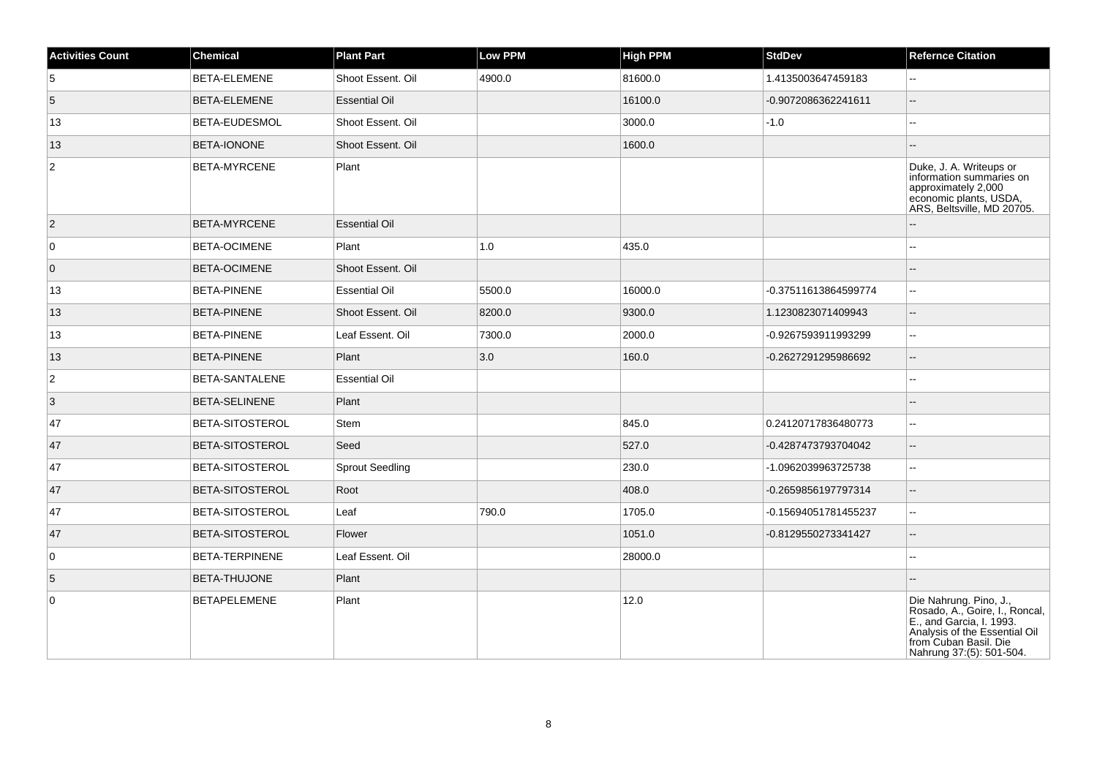| <b>Activities Count</b> | <b>Chemical</b>        | <b>Plant Part</b>      | Low PPM | <b>High PPM</b> | <b>StdDev</b>        | <b>Refernce Citation</b>                                                                                                                                                   |
|-------------------------|------------------------|------------------------|---------|-----------------|----------------------|----------------------------------------------------------------------------------------------------------------------------------------------------------------------------|
| 5                       | <b>BETA-ELEMENE</b>    | Shoot Essent. Oil      | 4900.0  | 81600.0         | 1.4135003647459183   | $\mathbf{L}$                                                                                                                                                               |
| $5\phantom{.0}$         | <b>BETA-ELEMENE</b>    | <b>Essential Oil</b>   |         | 16100.0         | -0.9072086362241611  | ш,                                                                                                                                                                         |
| 13                      | BETA-EUDESMOL          | Shoot Essent. Oil      |         | 3000.0          | $-1.0$               | $- -$                                                                                                                                                                      |
| 13                      | BETA-IONONE            | Shoot Essent. Oil      |         | 1600.0          |                      |                                                                                                                                                                            |
| $\overline{c}$          | <b>BETA-MYRCENE</b>    | Plant                  |         |                 |                      | Duke, J. A. Writeups or<br>information summaries on<br>approximately 2,000<br>economic plants, USDA,<br>ARS, Beltsville, MD 20705.                                         |
| $\vert$ 2               | <b>BETA-MYRCENE</b>    | <b>Essential Oil</b>   |         |                 |                      |                                                                                                                                                                            |
| $\overline{0}$          | <b>BETA-OCIMENE</b>    | Plant                  | 1.0     | 435.0           |                      | --                                                                                                                                                                         |
| $\overline{0}$          | BETA-OCIMENE           | Shoot Essent. Oil      |         |                 |                      |                                                                                                                                                                            |
| 13                      | <b>BETA-PINENE</b>     | <b>Essential Oil</b>   | 5500.0  | 16000.0         | -0.37511613864599774 | $\overline{\phantom{a}}$                                                                                                                                                   |
| 13                      | <b>BETA-PINENE</b>     | Shoot Essent. Oil      | 8200.0  | 9300.0          | 1.1230823071409943   | $\overline{a}$                                                                                                                                                             |
| 13                      | <b>BETA-PINENE</b>     | Leaf Essent. Oil       | 7300.0  | 2000.0          | -0.9267593911993299  | --                                                                                                                                                                         |
| 13                      | <b>BETA-PINENE</b>     | Plant                  | 3.0     | 160.0           | -0.2627291295986692  | $-$                                                                                                                                                                        |
| $\overline{2}$          | BETA-SANTALENE         | <b>Essential Oil</b>   |         |                 |                      | $\overline{a}$                                                                                                                                                             |
| 3                       | <b>BETA-SELINENE</b>   | Plant                  |         |                 |                      |                                                                                                                                                                            |
| 47                      | <b>BETA-SITOSTEROL</b> | Stem                   |         | 845.0           | 0.24120717836480773  | $\overline{\phantom{a}}$                                                                                                                                                   |
| 47                      | BETA-SITOSTEROL        | Seed                   |         | 527.0           | -0.4287473793704042  | --                                                                                                                                                                         |
| 47                      | <b>BETA-SITOSTEROL</b> | <b>Sprout Seedling</b> |         | 230.0           | -1.0962039963725738  | $\mathord{\hspace{1pt}\text{--}\hspace{1pt}}$                                                                                                                              |
| 47                      | BETA-SITOSTEROL        | Root                   |         | 408.0           | -0.2659856197797314  | $\overline{a}$                                                                                                                                                             |
| 47                      | BETA-SITOSTEROL        | Leaf                   | 790.0   | 1705.0          | -0.15694051781455237 | $\overline{a}$                                                                                                                                                             |
| 47                      | BETA-SITOSTEROL        | Flower                 |         | 1051.0          | -0.8129550273341427  | $\overline{\phantom{a}}$                                                                                                                                                   |
| $\overline{0}$          | BETA-TERPINENE         | Leaf Essent. Oil       |         | 28000.0         |                      | ۵.                                                                                                                                                                         |
| $\overline{5}$          | BETA-THUJONE           | Plant                  |         |                 |                      |                                                                                                                                                                            |
| $\overline{0}$          | <b>BETAPELEMENE</b>    | Plant                  |         | 12.0            |                      | Die Nahrung. Pino, J.,<br>Rosado, A., Goire, I., Roncal,<br>E., and Garcia, I. 1993.<br>Analysis of the Essential Oil<br>from Cuban Basil. Die<br>Nahrung 37:(5): 501-504. |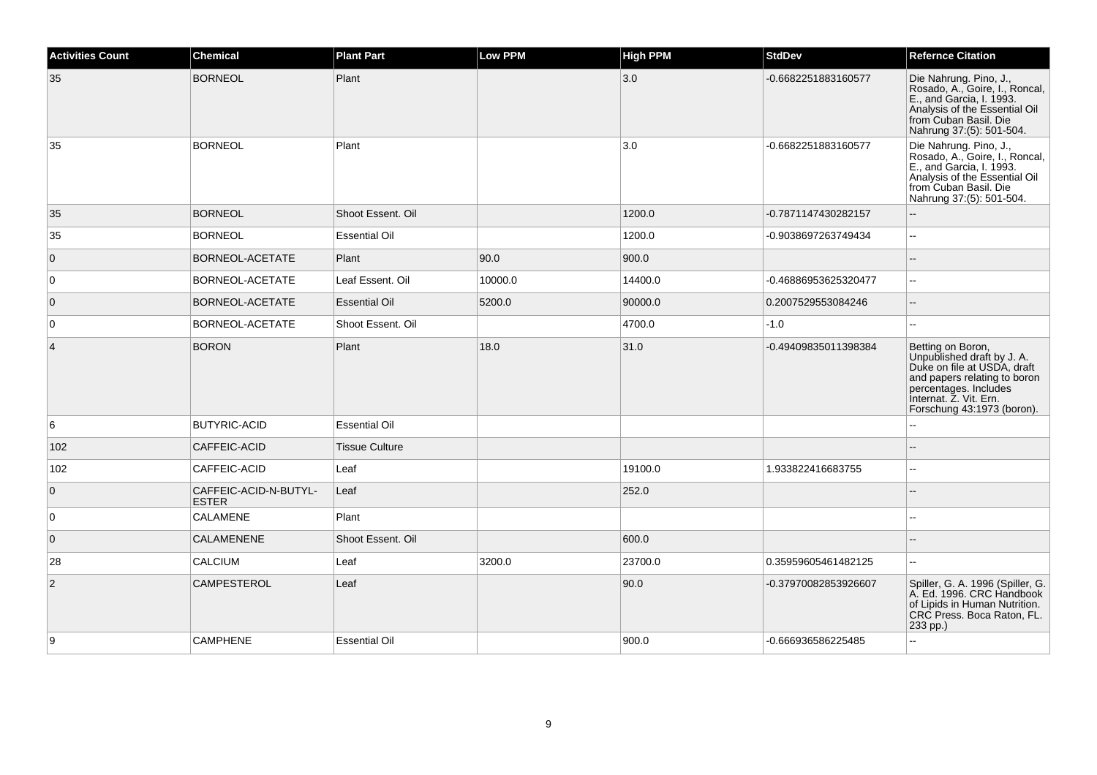| <b>Activities Count</b> | <b>Chemical</b>                       | <b>Plant Part</b>     | <b>Low PPM</b> | <b>High PPM</b> | <b>StdDev</b>        | <b>Refernce Citation</b>                                                                                                                                                                        |
|-------------------------|---------------------------------------|-----------------------|----------------|-----------------|----------------------|-------------------------------------------------------------------------------------------------------------------------------------------------------------------------------------------------|
| 35                      | <b>BORNEOL</b>                        | Plant                 |                | 3.0             | -0.6682251883160577  | Die Nahrung. Pino, J.,<br>Rosado, A., Goire, I., Roncal,<br>E., and Garcia, I. 1993.<br>Analysis of the Essential Oil<br>from Cuban Basil. Die<br>Nahrung 37:(5): 501-504.                      |
| 35                      | <b>BORNEOL</b>                        | Plant                 |                | 3.0             | -0.6682251883160577  | Die Nahrung. Pino, J.,<br>Rosado, A., Goire, I., Roncal,<br>E., and Garcia, I. 1993.<br>Analysis of the Essential Oil<br>from Cuban Basil. Die<br>Nahrung 37:(5): 501-504.                      |
| 35                      | <b>BORNEOL</b>                        | Shoot Essent. Oil     |                | 1200.0          | -0.7871147430282157  |                                                                                                                                                                                                 |
| 35                      | <b>BORNEOL</b>                        | <b>Essential Oil</b>  |                | 1200.0          | -0.9038697263749434  | $\mathbf{u}$                                                                                                                                                                                    |
| $\mathbf 0$             | BORNEOL-ACETATE                       | Plant                 | 90.0           | 900.0           |                      |                                                                                                                                                                                                 |
| 0                       | BORNEOL-ACETATE                       | Leaf Essent. Oil      | 10000.0        | 14400.0         | -0.46886953625320477 | $\sim$                                                                                                                                                                                          |
| $\mathbf 0$             | BORNEOL-ACETATE                       | <b>Essential Oil</b>  | 5200.0         | 90000.0         | 0.2007529553084246   |                                                                                                                                                                                                 |
| $\mathbf 0$             | BORNEOL-ACETATE                       | Shoot Essent, Oil     |                | 4700.0          | $-1.0$               | $\overline{\phantom{a}}$                                                                                                                                                                        |
| $\overline{4}$          | <b>BORON</b>                          | Plant                 | 18.0           | 31.0            | -0.49409835011398384 | Betting on Boron,<br>Unpublished draft by J. A.<br>Duke on file at USDA, draft<br>and papers relating to boron<br>percentages. Includes<br>Internat. Z. Vit. Ern.<br>Forschung 43:1973 (boron). |
| 6                       | <b>BUTYRIC-ACID</b>                   | <b>Essential Oil</b>  |                |                 |                      |                                                                                                                                                                                                 |
| 102                     | CAFFEIC-ACID                          | <b>Tissue Culture</b> |                |                 |                      |                                                                                                                                                                                                 |
| 102                     | CAFFEIC-ACID                          | Leaf                  |                | 19100.0         | 1.933822416683755    | $\sim$                                                                                                                                                                                          |
| $\overline{0}$          | CAFFEIC-ACID-N-BUTYL-<br><b>ESTER</b> | Leaf                  |                | 252.0           |                      |                                                                                                                                                                                                 |
| 0                       | <b>CALAMENE</b>                       | Plant                 |                |                 |                      |                                                                                                                                                                                                 |
| $\mathbf 0$             | CALAMENENE                            | Shoot Essent. Oil     |                | 600.0           |                      |                                                                                                                                                                                                 |
| 28                      | <b>CALCIUM</b>                        | Leaf                  | 3200.0         | 23700.0         | 0.35959605461482125  | $\sim$                                                                                                                                                                                          |
| $\overline{2}$          | <b>CAMPESTEROL</b>                    | Leaf                  |                | 90.0            | -0.37970082853926607 | Spiller, G. A. 1996 (Spiller, G.<br>A. Ed. 1996. CRC Handbook<br>of Lipids in Human Nutrition.<br>CRC Press. Boca Raton, FL.<br>233 pp.)                                                        |
| 9                       | <b>CAMPHENE</b>                       | <b>Essential Oil</b>  |                | 900.0           | -0.666936586225485   | $\mathbf{u}$                                                                                                                                                                                    |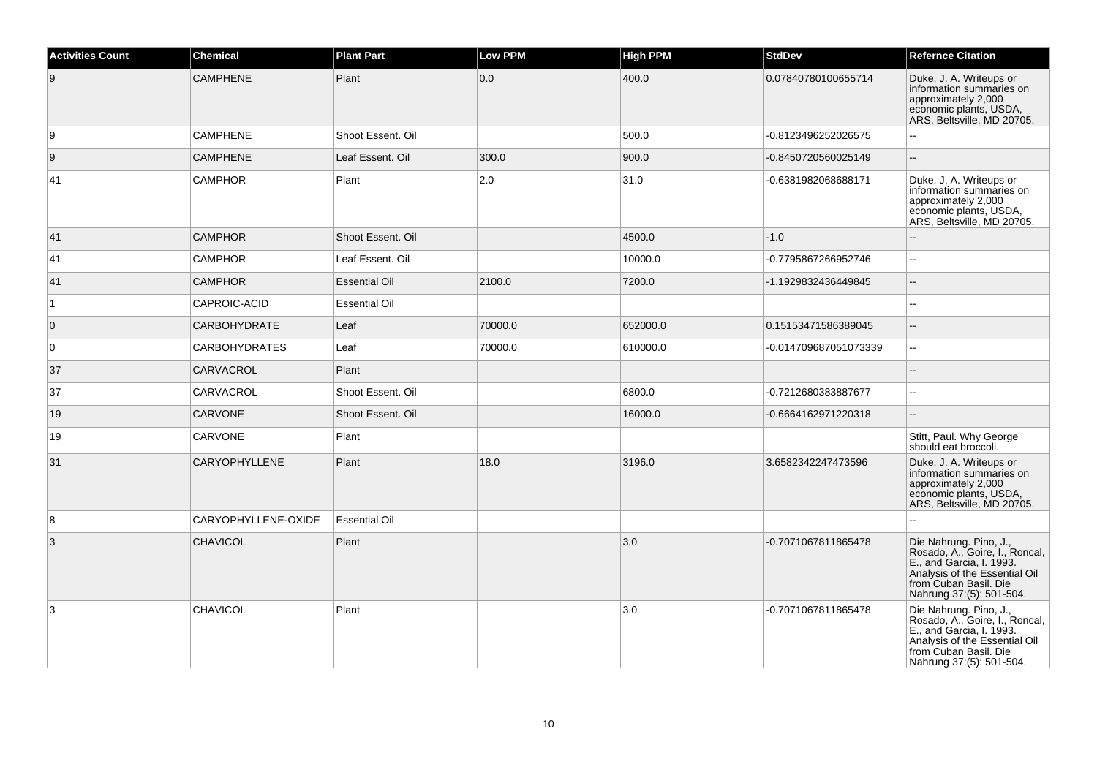| <b>Activities Count</b> | <b>Chemical</b>      | <b>Plant Part</b>    | <b>Low PPM</b> | <b>High PPM</b> | <b>StdDev</b>         | <b>Refernce Citation</b>                                                                                                                                                   |
|-------------------------|----------------------|----------------------|----------------|-----------------|-----------------------|----------------------------------------------------------------------------------------------------------------------------------------------------------------------------|
| 9                       | <b>CAMPHENE</b>      | Plant                | 0.0            | 400.0           | 0.07840780100655714   | Duke, J. A. Writeups or<br>information summaries on<br>approximately 2,000<br>economic plants, USDA,<br>ARS, Beltsville, MD 20705.                                         |
| 9                       | <b>CAMPHENE</b>      | Shoot Essent. Oil    |                | 500.0           | -0.8123496252026575   |                                                                                                                                                                            |
| 9                       | <b>CAMPHENE</b>      | Leaf Essent. Oil     | 300.0          | 900.0           | -0.8450720560025149   |                                                                                                                                                                            |
| 41                      | <b>CAMPHOR</b>       | Plant                | 2.0            | 31.0            | -0.6381982068688171   | Duke, J. A. Writeups or<br>information summaries on<br>approximately 2,000<br>economic plants, USDA,<br>ARS, Beltsville, MD 20705.                                         |
| 41                      | <b>CAMPHOR</b>       | Shoot Essent. Oil    |                | 4500.0          | $-1.0$                |                                                                                                                                                                            |
| 41                      | <b>CAMPHOR</b>       | Leaf Essent. Oil     |                | 10000.0         | -0.7795867266952746   | $\overline{a}$                                                                                                                                                             |
| 41                      | <b>CAMPHOR</b>       | <b>Essential Oil</b> | 2100.0         | 7200.0          | -1.1929832436449845   | $\overline{\phantom{a}}$                                                                                                                                                   |
| $\overline{1}$          | CAPROIC-ACID         | <b>Essential Oil</b> |                |                 |                       | ä.                                                                                                                                                                         |
| $\overline{0}$          | <b>CARBOHYDRATE</b>  | Leaf                 | 70000.0        | 652000.0        | 0.15153471586389045   |                                                                                                                                                                            |
| $\overline{0}$          | <b>CARBOHYDRATES</b> | Leaf                 | 70000.0        | 610000.0        | -0.014709687051073339 | $\overline{\phantom{a}}$                                                                                                                                                   |
| 37                      | CARVACROL            | Plant                |                |                 |                       | $\sim$                                                                                                                                                                     |
| 37                      | CARVACROL            | Shoot Essent. Oil    |                | 6800.0          | -0.7212680383887677   | $\overline{\phantom{a}}$                                                                                                                                                   |
| 19                      | <b>CARVONE</b>       | Shoot Essent. Oil    |                | 16000.0         | -0.6664162971220318   | $\overline{\phantom{a}}$                                                                                                                                                   |
| 19                      | CARVONE              | Plant                |                |                 |                       | Stitt, Paul. Why George<br>should eat broccoli.                                                                                                                            |
| 31                      | CARYOPHYLLENE        | Plant                | 18.0           | 3196.0          | 3.6582342247473596    | Duke, J. A. Writeups or<br>information summaries on<br>approximately 2,000<br>economic plants, USDA,<br>ARS, Beltsville, MD 20705.                                         |
| 8                       | CARYOPHYLLENE-OXIDE  | <b>Essential Oil</b> |                |                 |                       |                                                                                                                                                                            |
| 3                       | <b>CHAVICOL</b>      | Plant                |                | 3.0             | -0.7071067811865478   | Die Nahrung. Pino, J.,<br>Rosado, A., Goire, I., Roncal,<br>E., and Garcia, I. 1993.<br>Analysis of the Essential Oil<br>from Cuban Basil. Die<br>Nahrung 37:(5): 501-504. |
| 3                       | <b>CHAVICOL</b>      | Plant                |                | 3.0             | -0.7071067811865478   | Die Nahrung. Pino, J.,<br>Rosado, A., Goire, I., Roncal,<br>E., and Garcia, I. 1993.<br>Analysis of the Essential Oil<br>from Cuban Basil. Die<br>Nahrung 37:(5): 501-504. |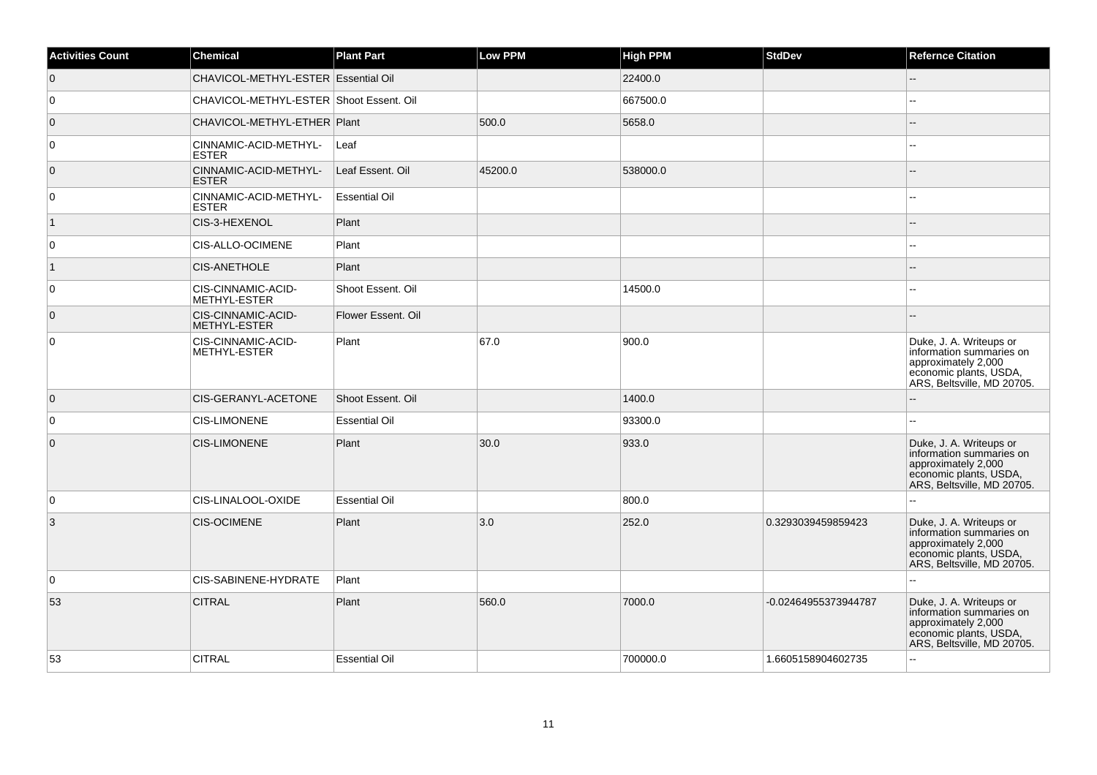| <b>Activities Count</b> | <b>Chemical</b>                           | <b>Plant Part</b>    | <b>Low PPM</b> | <b>High PPM</b> | <b>StdDev</b>        | <b>Refernce Citation</b>                                                                                                           |
|-------------------------|-------------------------------------------|----------------------|----------------|-----------------|----------------------|------------------------------------------------------------------------------------------------------------------------------------|
| $\overline{0}$          | CHAVICOL-METHYL-ESTER Essential Oil       |                      |                | 22400.0         |                      | Ξ.                                                                                                                                 |
| 0                       | CHAVICOL-METHYL-ESTER Shoot Essent. Oil   |                      |                | 667500.0        |                      | ۵.                                                                                                                                 |
| $\overline{0}$          | CHAVICOL-METHYL-ETHER   Plant             |                      | 500.0          | 5658.0          |                      | --                                                                                                                                 |
| 0                       | CINNAMIC-ACID-METHYL-<br><b>ESTER</b>     | Leaf                 |                |                 |                      | --                                                                                                                                 |
| $\overline{0}$          | CINNAMIC-ACID-METHYL-<br><b>ESTER</b>     | Leaf Essent. Oil     | 45200.0        | 538000.0        |                      |                                                                                                                                    |
| 0                       | CINNAMIC-ACID-METHYL-<br>ESTER            | <b>Essential Oil</b> |                |                 |                      |                                                                                                                                    |
| $\vert$ 1               | CIS-3-HEXENOL                             | Plant                |                |                 |                      |                                                                                                                                    |
| 0                       | CIS-ALLO-OCIMENE                          | Plant                |                |                 |                      |                                                                                                                                    |
| $\vert$ 1               | <b>CIS-ANETHOLE</b>                       | Plant                |                |                 |                      |                                                                                                                                    |
| 0                       | CIS-CINNAMIC-ACID-<br><b>METHYL-ESTER</b> | Shoot Essent. Oil    |                | 14500.0         |                      | $\sim$                                                                                                                             |
| $\overline{0}$          | CIS-CINNAMIC-ACID-<br><b>METHYL-ESTER</b> | Flower Essent. Oil   |                |                 |                      |                                                                                                                                    |
| 0                       | CIS-CINNAMIC-ACID-<br>METHYL-ESTER        | Plant                | 67.0           | 900.0           |                      | Duke, J. A. Writeups or<br>information summaries on<br>approximately 2,000<br>economic plants, USDA,<br>ARS, Beltsville, MD 20705. |
| $\overline{0}$          | <b>CIS-GERANYL-ACETONE</b>                | Shoot Essent, Oil    |                | 1400.0          |                      |                                                                                                                                    |
| 0                       | <b>CIS-LIMONENE</b>                       | <b>Essential Oil</b> |                | 93300.0         |                      |                                                                                                                                    |
| $\overline{0}$          | <b>CIS-LIMONENE</b>                       | Plant                | 30.0           | 933.0           |                      | Duke, J. A. Writeups or<br>information summaries on<br>approximately 2,000<br>economic plants, USDA,<br>ARS, Beltsville, MD 20705. |
| 0                       | CIS-LINALOOL-OXIDE                        | <b>Essential Oil</b> |                | 800.0           |                      |                                                                                                                                    |
| 3                       | <b>CIS-OCIMENE</b>                        | Plant                | 3.0            | 252.0           | 0.3293039459859423   | Duke, J. A. Writeups or<br>information summaries on<br>approximately 2,000<br>economic plants, USDA,<br>ARS, Beltsville, MD 20705. |
| 0                       | CIS-SABINENE-HYDRATE                      | Plant                |                |                 |                      | --                                                                                                                                 |
| 53                      | <b>CITRAL</b>                             | Plant                | 560.0          | 7000.0          | -0.02464955373944787 | Duke, J. A. Writeups or<br>information summaries on<br>approximately 2,000<br>economic plants, USDA,<br>ARS, Beltsville, MD 20705. |
| 53                      | <b>CITRAL</b>                             | <b>Essential Oil</b> |                | 700000.0        | 1.6605158904602735   | $\overline{a}$                                                                                                                     |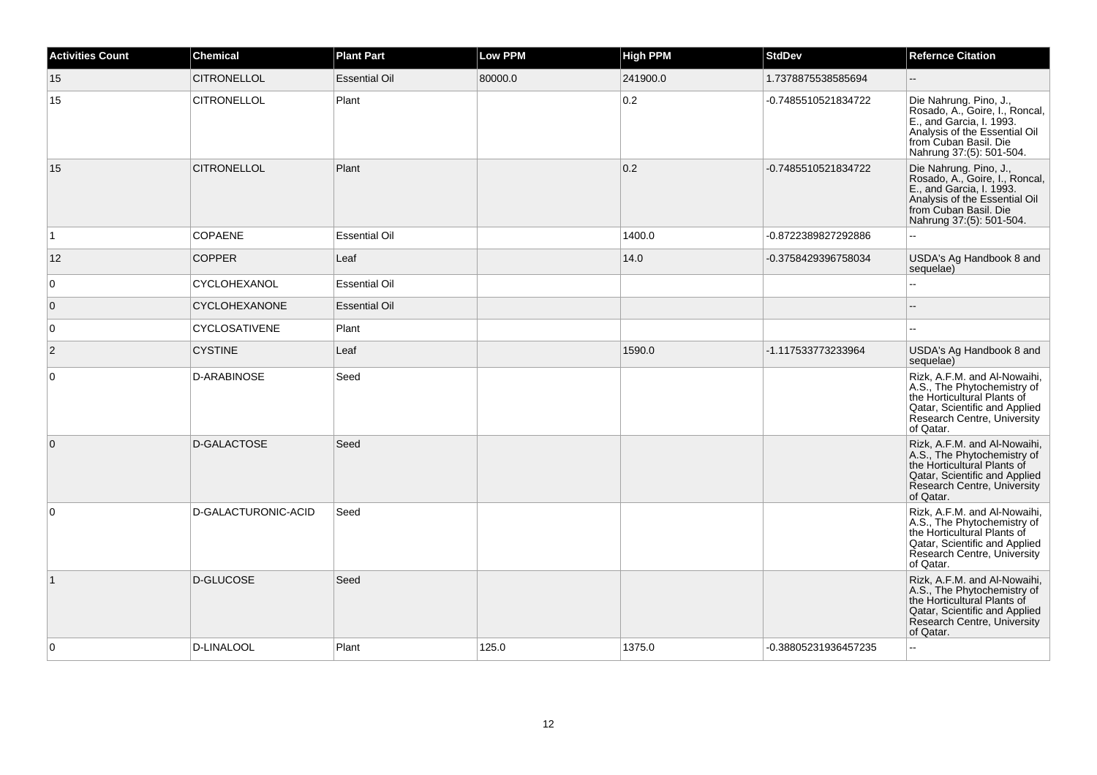| <b>Activities Count</b> | <b>Chemical</b>      | <b>Plant Part</b>    | <b>Low PPM</b> | <b>High PPM</b> | <b>StdDev</b>        | <b>Refernce Citation</b>                                                                                                                                                   |
|-------------------------|----------------------|----------------------|----------------|-----------------|----------------------|----------------------------------------------------------------------------------------------------------------------------------------------------------------------------|
| 15                      | <b>CITRONELLOL</b>   | <b>Essential Oil</b> | 80000.0        | 241900.0        | 1.7378875538585694   |                                                                                                                                                                            |
| 15                      | <b>CITRONELLOL</b>   | Plant                |                | 0.2             | -0.7485510521834722  | Die Nahrung. Pino, J.,<br>Rosado, A., Goire, I., Roncal,<br>E., and Garcia, I. 1993.<br>Analysis of the Essential Oil<br>from Cuban Basil. Die<br>Nahrung 37:(5): 501-504. |
| 15                      | <b>CITRONELLOL</b>   | Plant                |                | 0.2             | -0.7485510521834722  | Die Nahrung. Pino, J.,<br>Rosado, A., Goire, I., Roncal,<br>E., and Garcia, I. 1993.<br>Analysis of the Essential Oil<br>from Cuban Basil. Die<br>Nahrung 37:(5): 501-504. |
| $\vert$ 1               | COPAENE              | <b>Essential Oil</b> |                | 1400.0          | -0.8722389827292886  |                                                                                                                                                                            |
| 12                      | <b>COPPER</b>        | Leaf                 |                | 14.0            | -0.3758429396758034  | USDA's Ag Handbook 8 and<br>sequelae)                                                                                                                                      |
| $\overline{0}$          | CYCLOHEXANOL         | <b>Essential Oil</b> |                |                 |                      | $\overline{a}$                                                                                                                                                             |
| $\overline{0}$          | <b>CYCLOHEXANONE</b> | <b>Essential Oil</b> |                |                 |                      |                                                                                                                                                                            |
| $\overline{0}$          | <b>CYCLOSATIVENE</b> | Plant                |                |                 |                      |                                                                                                                                                                            |
| $\overline{2}$          | <b>CYSTINE</b>       | Leaf                 |                | 1590.0          | -1.117533773233964   | USDA's Ag Handbook 8 and<br>sequelae)                                                                                                                                      |
| $\overline{0}$          | <b>D-ARABINOSE</b>   | Seed                 |                |                 |                      | Rizk, A.F.M. and Al-Nowaihi,<br>A.S., The Phytochemistry of<br>the Horticultural Plants of<br>Qatar, Scientific and Applied<br>Research Centre, University<br>of Qatar.    |
| $\overline{0}$          | D-GALACTOSE          | Seed                 |                |                 |                      | Rizk, A.F.M. and Al-Nowaihi,<br>A.S., The Phytochemistry of<br>the Horticultural Plants of<br>Qatar, Scientific and Applied<br>Research Centre, University<br>of Qatar.    |
| $\overline{0}$          | D-GALACTURONIC-ACID  | Seed                 |                |                 |                      | Rizk, A.F.M. and Al-Nowaihi,<br>A.S., The Phytochemistry of<br>the Horticultural Plants of<br>Qatar, Scientific and Applied<br>Research Centre, University<br>of Qatar.    |
| $\vert$ 1               | D-GLUCOSE            | Seed                 |                |                 |                      | Rizk, A.F.M. and Al-Nowaihi,<br>A.S., The Phytochemistry of<br>the Horticultural Plants of<br>Qatar, Scientific and Applied<br>Research Centre, University<br>of Qatar.    |
| $\overline{0}$          | <b>D-LINALOOL</b>    | Plant                | 125.0          | 1375.0          | -0.38805231936457235 |                                                                                                                                                                            |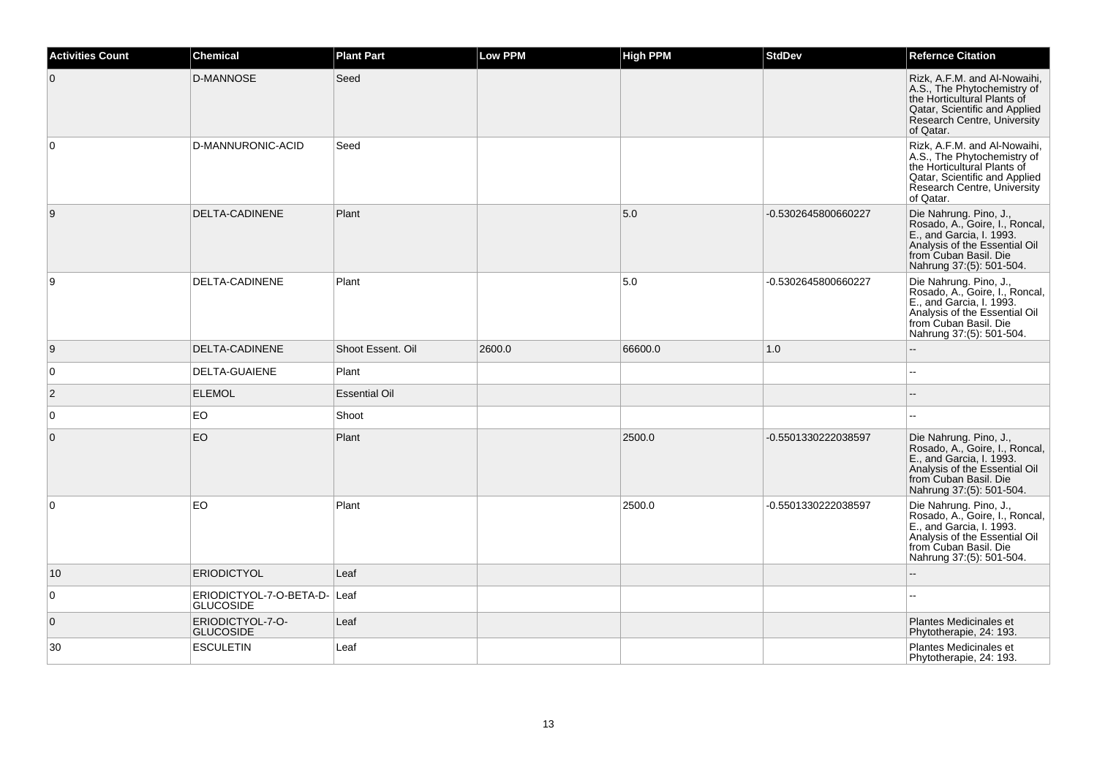| <b>Activities Count</b> | <b>Chemical</b>                             | <b>Plant Part</b>    | <b>Low PPM</b> | High PPM | <b>StdDev</b>       | <b>Refernce Citation</b>                                                                                                                                                   |
|-------------------------|---------------------------------------------|----------------------|----------------|----------|---------------------|----------------------------------------------------------------------------------------------------------------------------------------------------------------------------|
| $\overline{0}$          | <b>D-MANNOSE</b>                            | Seed                 |                |          |                     | Rizk, A.F.M. and Al-Nowaihi,<br>A.S., The Phytochemistry of<br>the Horticultural Plants of<br>Qatar, Scientific and Applied<br>Research Centre, University<br>of Qatar.    |
| 0                       | D-MANNURONIC-ACID                           | Seed                 |                |          |                     | Rizk, A.F.M. and Al-Nowaihi,<br>A.S., The Phytochemistry of<br>the Horticultural Plants of<br>Qatar, Scientific and Applied<br>Research Centre, University<br>of Qatar.    |
| $\overline{9}$          | DELTA-CADINENE                              | Plant                |                | 5.0      | -0.5302645800660227 | Die Nahrung. Pino, J.,<br>Rosado, A., Goire, I., Roncal,<br>E., and Garcia, I. 1993.<br>Analysis of the Essential Oil<br>from Cuban Basil. Die<br>Nahrung 37:(5): 501-504. |
| 9                       | DELTA-CADINENE                              | Plant                |                | 5.0      | -0.5302645800660227 | Die Nahrung. Pino, J.,<br>Rosado, A., Goire, I., Roncal,<br>E., and Garcia, I. 1993.<br>Analysis of the Essential Oil<br>from Cuban Basil. Die<br>Nahrung 37:(5): 501-504. |
| 9                       | DELTA-CADINENE                              | Shoot Essent. Oil    | 2600.0         | 66600.0  | 1.0                 | $\sim$                                                                                                                                                                     |
| $\overline{0}$          | DELTA-GUAIENE                               | Plant                |                |          |                     |                                                                                                                                                                            |
| $\vert$ 2               | <b>ELEMOL</b>                               | <b>Essential Oil</b> |                |          |                     | $\sim$                                                                                                                                                                     |
| $\overline{0}$          | EO                                          | Shoot                |                |          |                     | $\sim$                                                                                                                                                                     |
| $\overline{0}$          | EO                                          | Plant                |                | 2500.0   | -0.5501330222038597 | Die Nahrung. Pino, J.,<br>Rosado, A., Goire, I., Roncal,<br>E., and Garcia, I. 1993.<br>Analysis of the Essential Oil<br>from Cuban Basil. Die<br>Nahrung 37:(5): 501-504. |
| $\overline{0}$          | <b>EO</b>                                   | Plant                |                | 2500.0   | -0.5501330222038597 | Die Nahrung. Pino, J.,<br>Rosado, A., Goire, I., Roncal,<br>E., and Garcia, I. 1993.<br>Analysis of the Essential Oil<br>from Cuban Basil. Die<br>Nahrung 37:(5): 501-504. |
| 10                      | <b>ERIODICTYOL</b>                          | Leaf                 |                |          |                     |                                                                                                                                                                            |
| $\overline{0}$          | ERIODICTYOL-7-O-BETA-D-<br><b>GLUCOSIDE</b> | Leaf                 |                |          |                     | $\sim$                                                                                                                                                                     |
| $\overline{0}$          | ERIODICTYOL-7-O-<br><b>GLUCOSIDE</b>        | Leaf                 |                |          |                     | Plantes Medicinales et<br>Phytotherapie, 24: 193.                                                                                                                          |
| 30                      | <b>ESCULETIN</b>                            | Leaf                 |                |          |                     | Plantes Medicinales et<br>Phytotherapie, 24: 193.                                                                                                                          |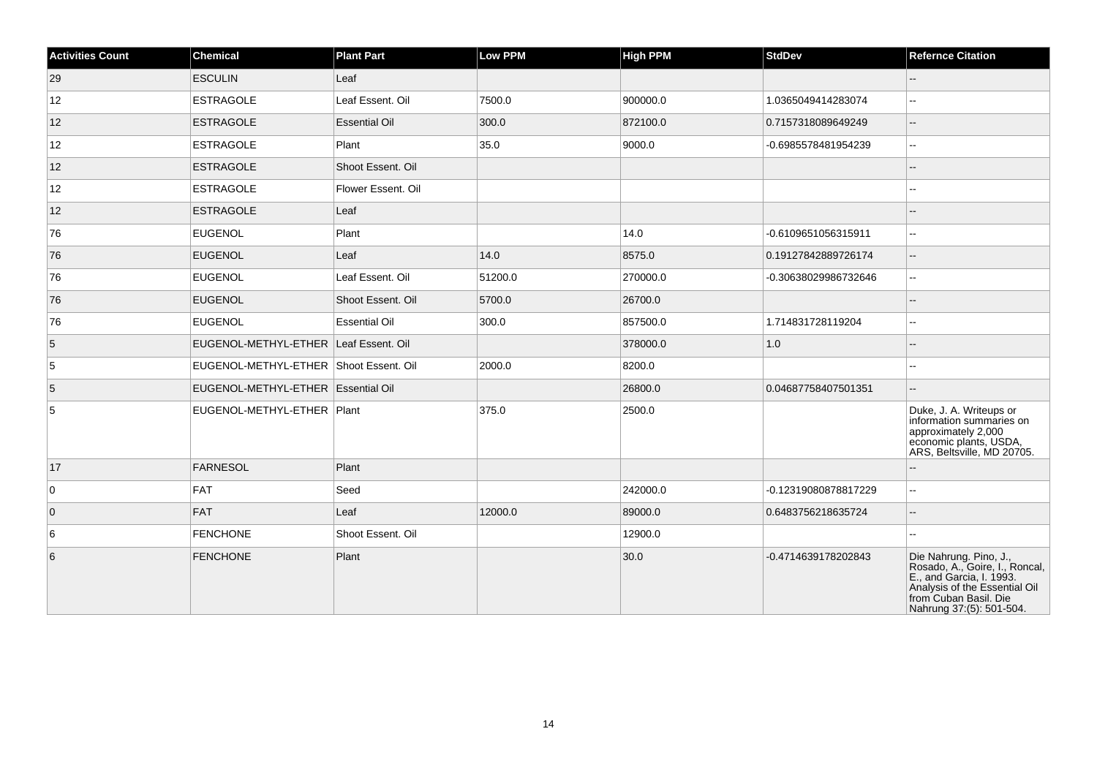| <b>Activities Count</b> | <b>Chemical</b>                        | <b>Plant Part</b>    | <b>Low PPM</b> | <b>High PPM</b> | <b>StdDev</b>        | <b>Refernce Citation</b>                                                                                                                                                   |
|-------------------------|----------------------------------------|----------------------|----------------|-----------------|----------------------|----------------------------------------------------------------------------------------------------------------------------------------------------------------------------|
| 29                      | <b>ESCULIN</b>                         | Leaf                 |                |                 |                      | --                                                                                                                                                                         |
| 12                      | <b>ESTRAGOLE</b>                       | Leaf Essent. Oil     | 7500.0         | 900000.0        | 1.0365049414283074   | $-1$                                                                                                                                                                       |
| 12                      | <b>ESTRAGOLE</b>                       | <b>Essential Oil</b> | 300.0          | 872100.0        | 0.7157318089649249   | $\overline{\phantom{a}}$                                                                                                                                                   |
| 12                      | <b>ESTRAGOLE</b>                       | Plant                | 35.0           | 9000.0          | -0.6985578481954239  | шш.                                                                                                                                                                        |
| 12                      | <b>ESTRAGOLE</b>                       | Shoot Essent, Oil    |                |                 |                      | --                                                                                                                                                                         |
| 12                      | <b>ESTRAGOLE</b>                       | Flower Essent. Oil   |                |                 |                      |                                                                                                                                                                            |
| 12                      | <b>ESTRAGOLE</b>                       | Leaf                 |                |                 |                      |                                                                                                                                                                            |
| 76                      | <b>EUGENOL</b>                         | Plant                |                | 14.0            | -0.6109651056315911  | --                                                                                                                                                                         |
| 76                      | <b>EUGENOL</b>                         | Leaf                 | 14.0           | 8575.0          | 0.19127842889726174  | $\overline{\phantom{a}}$                                                                                                                                                   |
| 76                      | <b>EUGENOL</b>                         | Leaf Essent. Oil     | 51200.0        | 270000.0        | -0.30638029986732646 | $\overline{\phantom{a}}$                                                                                                                                                   |
| 76                      | <b>EUGENOL</b>                         | Shoot Essent. Oil    | 5700.0         | 26700.0         |                      | $-$                                                                                                                                                                        |
| 76                      | <b>EUGENOL</b>                         | <b>Essential Oil</b> | 300.0          | 857500.0        | 1.714831728119204    | --                                                                                                                                                                         |
| 5                       | EUGENOL-METHYL-ETHER Leaf Essent. Oil  |                      |                | 378000.0        | 1.0                  |                                                                                                                                                                            |
| 5                       | EUGENOL-METHYL-ETHER Shoot Essent. Oil |                      | 2000.0         | 8200.0          |                      | шш.                                                                                                                                                                        |
| 5                       | EUGENOL-METHYL-ETHER Essential Oil     |                      |                | 26800.0         | 0.04687758407501351  |                                                                                                                                                                            |
| 5                       | EUGENOL-METHYL-ETHER   Plant           |                      | 375.0          | 2500.0          |                      | Duke, J. A. Writeups or<br>information summaries on<br>approximately 2,000<br>economic plants, USDA,<br>ARS, Beltsville, MD 20705.                                         |
| 17                      | FARNESOL                               | Plant                |                |                 |                      |                                                                                                                                                                            |
| $\overline{0}$          | FAT                                    | Seed                 |                | 242000.0        | -0.12319080878817229 | Щ,                                                                                                                                                                         |
| $\overline{0}$          | <b>FAT</b>                             | Leaf                 | 12000.0        | 89000.0         | 0.6483756218635724   | --                                                                                                                                                                         |
| 6                       | <b>FENCHONE</b>                        | Shoot Essent. Oil    |                | 12900.0         |                      | ۵.                                                                                                                                                                         |
| 6                       | <b>FENCHONE</b>                        | Plant                |                | 30.0            | -0.4714639178202843  | Die Nahrung. Pino, J.,<br>Rosado, A., Goire, I., Roncal,<br>E., and Garcia, I. 1993.<br>Analysis of the Essential Oil<br>from Cuban Basil. Die<br>Nahrung 37:(5): 501-504. |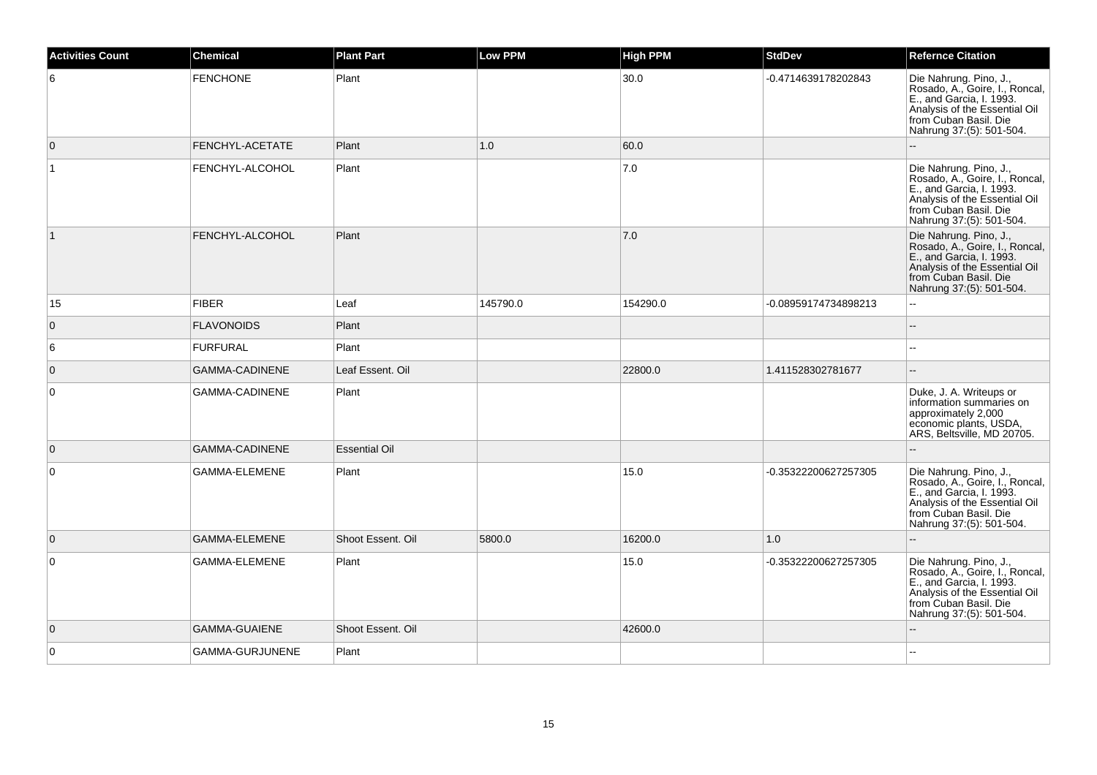| <b>Activities Count</b> | <b>Chemical</b>       | <b>Plant Part</b>    | <b>Low PPM</b> | <b>High PPM</b> | <b>StdDev</b>        | <b>Refernce Citation</b>                                                                                                                                                   |
|-------------------------|-----------------------|----------------------|----------------|-----------------|----------------------|----------------------------------------------------------------------------------------------------------------------------------------------------------------------------|
| 6                       | <b>FENCHONE</b>       | Plant                |                | 30.0            | -0.4714639178202843  | Die Nahrung. Pino, J.,<br>Rosado, A., Goire, I., Roncal,<br>E., and Garcia, I. 1993.<br>Analysis of the Essential Oil<br>from Cuban Basil. Die<br>Nahrung 37:(5): 501-504. |
| $\overline{0}$          | FENCHYL-ACETATE       | Plant                | 1.0            | 60.0            |                      |                                                                                                                                                                            |
| $\overline{1}$          | FENCHYL-ALCOHOL       | Plant                |                | 7.0             |                      | Die Nahrung. Pino, J.,<br>Rosado, A., Goire, I., Roncal,<br>E., and Garcia, I. 1993.<br>Analysis of the Essential Oil<br>from Cuban Basil. Die<br>Nahrung 37:(5): 501-504. |
| $\vert$ 1               | FENCHYL-ALCOHOL       | Plant                |                | 7.0             |                      | Die Nahrung. Pino, J.,<br>Rosado, A., Goire, I., Roncal,<br>E., and Garcia, I. 1993.<br>Analysis of the Essential Oil<br>from Cuban Basil. Die<br>Nahrung 37:(5): 501-504. |
| 15                      | <b>FIBER</b>          | Leaf                 | 145790.0       | 154290.0        | -0.08959174734898213 | $\overline{\phantom{a}}$                                                                                                                                                   |
| $\overline{0}$          | <b>FLAVONOIDS</b>     | Plant                |                |                 |                      | $\overline{\phantom{a}}$                                                                                                                                                   |
| 6                       | <b>FURFURAL</b>       | Plant                |                |                 |                      | $\overline{a}$                                                                                                                                                             |
| $\overline{0}$          | <b>GAMMA-CADINENE</b> | Leaf Essent. Oil     |                | 22800.0         | 1.411528302781677    | ÷.                                                                                                                                                                         |
| $\overline{0}$          | GAMMA-CADINENE        | Plant                |                |                 |                      | Duke, J. A. Writeups or<br>information summaries on<br>approximately 2,000<br>economic plants, USDA,<br>ARS, Beltsville, MD 20705.                                         |
| $\overline{0}$          | GAMMA-CADINENE        | <b>Essential Oil</b> |                |                 |                      |                                                                                                                                                                            |
| $\overline{0}$          | GAMMA-ELEMENE         | Plant                |                | 15.0            | -0.35322200627257305 | Die Nahrung. Pino, J.,<br>Rosado, A., Goire, I., Roncal,<br>E., and Garcia, I. 1993.<br>Analysis of the Essential Oil<br>from Cuban Basil. Die<br>Nahrung 37:(5): 501-504. |
| $\overline{0}$          | GAMMA-ELEMENE         | Shoot Essent. Oil    | 5800.0         | 16200.0         | 1.0                  |                                                                                                                                                                            |
| $\overline{0}$          | GAMMA-ELEMENE         | Plant                |                | 15.0            | -0.35322200627257305 | Die Nahrung. Pino, J.,<br>Rosado, A., Goire, I., Roncal,<br>E., and Garcia, I. 1993.<br>Analysis of the Essential Oil<br>from Cuban Basil. Die<br>Nahrung 37:(5): 501-504. |
| $\overline{0}$          | <b>GAMMA-GUAIENE</b>  | Shoot Essent. Oil    |                | 42600.0         |                      |                                                                                                                                                                            |
| $\overline{0}$          | GAMMA-GURJUNENE       | Plant                |                |                 |                      |                                                                                                                                                                            |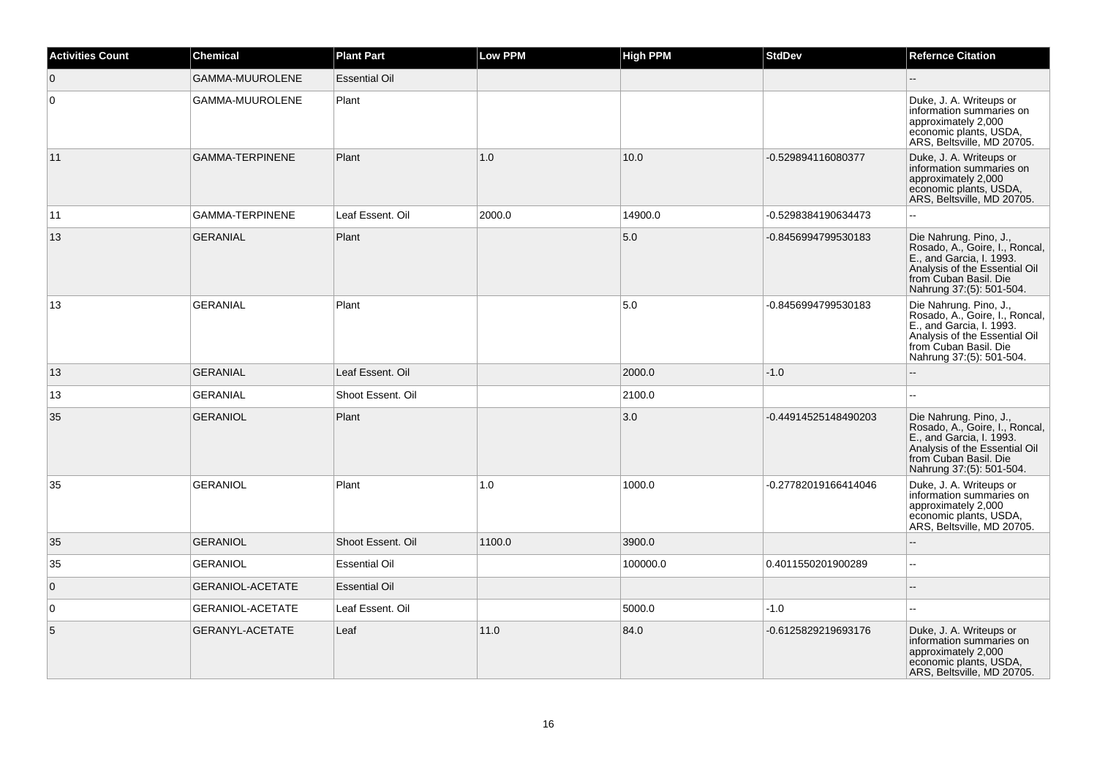| <b>Activities Count</b> | <b>Chemical</b>         | <b>Plant Part</b>    | <b>Low PPM</b> | <b>High PPM</b> | <b>StdDev</b>        | <b>Refernce Citation</b>                                                                                                                                                   |
|-------------------------|-------------------------|----------------------|----------------|-----------------|----------------------|----------------------------------------------------------------------------------------------------------------------------------------------------------------------------|
| $\overline{0}$          | <b>GAMMA-MUUROLENE</b>  | <b>Essential Oil</b> |                |                 |                      |                                                                                                                                                                            |
| $\mathbf 0$             | GAMMA-MUUROLENE         | Plant                |                |                 |                      | Duke, J. A. Writeups or<br>information summaries on<br>approximately 2,000<br>economic plants, USDA,<br>ARS, Beltsville, MD 20705.                                         |
| 11                      | <b>GAMMA-TERPINENE</b>  | Plant                | 1.0            | 10.0            | -0.529894116080377   | Duke, J. A. Writeups or<br>information summaries on<br>approximately 2,000<br>economic plants, USDA,<br>ARS, Beltsville, MD 20705.                                         |
| 11                      | GAMMA-TERPINENE         | Leaf Essent. Oil     | 2000.0         | 14900.0         | -0.5298384190634473  | $\sim$                                                                                                                                                                     |
| 13                      | <b>GERANIAL</b>         | Plant                |                | 5.0             | -0.8456994799530183  | Die Nahrung. Pino, J.,<br>Rosado, A., Goire, I., Roncal,<br>E., and Garcia, I. 1993.<br>Analysis of the Essential Oil<br>from Cuban Basil. Die<br>Nahrung 37:(5): 501-504. |
| 13                      | <b>GERANIAL</b>         | Plant                |                | 5.0             | -0.8456994799530183  | Die Nahrung. Pino, J.,<br>Rosado, A., Goire, I., Roncal,<br>E., and Garcia, I. 1993.<br>Analysis of the Essential Oil<br>from Cuban Basil. Die<br>Nahrung 37:(5): 501-504. |
| 13                      | <b>GERANIAL</b>         | Leaf Essent. Oil     |                | 2000.0          | $-1.0$               |                                                                                                                                                                            |
| 13                      | <b>GERANIAL</b>         | Shoot Essent. Oil    |                | 2100.0          |                      |                                                                                                                                                                            |
| 35                      | <b>GERANIOL</b>         | Plant                |                | 3.0             | -0.44914525148490203 | Die Nahrung. Pino, J.,<br>Rosado, A., Goire, I., Roncal,<br>E., and Garcia, I. 1993.<br>Analysis of the Essential Oil<br>from Cuban Basil. Die<br>Nahrung 37:(5): 501-504. |
| 35                      | <b>GERANIOL</b>         | Plant                | 1.0            | 1000.0          | -0.27782019166414046 | Duke, J. A. Writeups or<br>information summaries on<br>approximately 2,000<br>economic plants, USDA,<br>ARS, Beltsville, MD 20705.                                         |
| 35                      | <b>GERANIOL</b>         | Shoot Essent. Oil    | 1100.0         | 3900.0          |                      |                                                                                                                                                                            |
| 35                      | <b>GERANIOL</b>         | <b>Essential Oil</b> |                | 100000.0        | 0.4011550201900289   | ÷.                                                                                                                                                                         |
| $\mathbf{0}$            | <b>GERANIOL-ACETATE</b> | <b>Essential Oil</b> |                |                 |                      |                                                                                                                                                                            |
| 0                       | <b>GERANIOL-ACETATE</b> | Leaf Essent. Oil     |                | 5000.0          | $-1.0$               | $\sim$                                                                                                                                                                     |
| $\sqrt{5}$              | GERANYL-ACETATE         | Leaf                 | 11.0           | 84.0            | -0.6125829219693176  | Duke, J. A. Writeups or<br>information summaries on<br>approximately 2,000<br>economic plants, USDA,<br>ARS, Beltsville, MD 20705.                                         |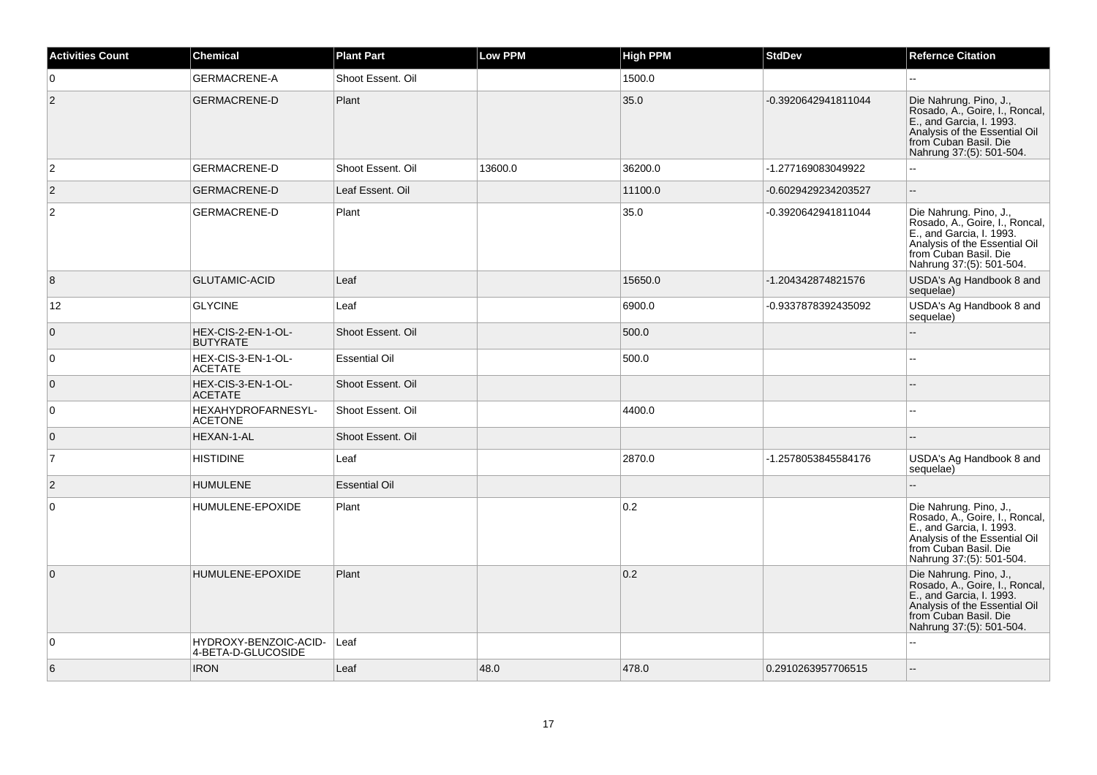| <b>Activities Count</b> | <b>Chemical</b>                             | <b>Plant Part</b>    | <b>Low PPM</b> | High PPM | <b>StdDev</b>       | <b>Refernce Citation</b>                                                                                                                                                   |
|-------------------------|---------------------------------------------|----------------------|----------------|----------|---------------------|----------------------------------------------------------------------------------------------------------------------------------------------------------------------------|
| $\overline{0}$          | <b>GERMACRENE-A</b>                         | Shoot Essent, Oil    |                | 1500.0   |                     |                                                                                                                                                                            |
| $ 2\rangle$             | <b>GERMACRENE-D</b>                         | Plant                |                | 35.0     | -0.3920642941811044 | Die Nahrung. Pino, J.,<br>Rosado, A., Goire, I., Roncal,<br>E., and Garcia, I. 1993.<br>Analysis of the Essential Oil<br>from Cuban Basil. Die<br>Nahrung 37:(5): 501-504. |
| $\overline{2}$          | <b>GERMACRENE-D</b>                         | Shoot Essent, Oil    | 13600.0        | 36200.0  | -1.277169083049922  |                                                                                                                                                                            |
| $\overline{2}$          | <b>GERMACRENE-D</b>                         | Leaf Essent. Oil     |                | 11100.0  | -0.6029429234203527 | $\mathbf{u}$                                                                                                                                                               |
| $\overline{2}$          | <b>GERMACRENE-D</b>                         | Plant                |                | 35.0     | -0.3920642941811044 | Die Nahrung. Pino, J.,<br>Rosado, A., Goire, I., Roncal,<br>E., and Garcia, I. 1993.<br>Analysis of the Essential Oil<br>from Cuban Basil. Die<br>Nahrung 37:(5): 501-504. |
| 8                       | <b>GLUTAMIC-ACID</b>                        | Leaf                 |                | 15650.0  | -1.204342874821576  | USDA's Ag Handbook 8 and<br>sequelae)                                                                                                                                      |
| 12 <sup>°</sup>         | <b>GLYCINE</b>                              | Leaf                 |                | 6900.0   | -0.9337878392435092 | USDA's Ag Handbook 8 and<br>sequelae)                                                                                                                                      |
| $\overline{0}$          | HEX-CIS-2-EN-1-OL-<br><b>BUTYRATE</b>       | Shoot Essent. Oil    |                | 500.0    |                     | $\mathbf{u}$                                                                                                                                                               |
| $\overline{0}$          | HEX-CIS-3-EN-1-OL-<br><b>ACETATE</b>        | <b>Essential Oil</b> |                | 500.0    |                     |                                                                                                                                                                            |
| $\overline{0}$          | HEX-CIS-3-EN-1-OL-<br><b>ACETATE</b>        | Shoot Essent, Oil    |                |          |                     |                                                                                                                                                                            |
| $\overline{0}$          | HEXAHYDROFARNESYL-<br><b>ACETONE</b>        | Shoot Essent. Oil    |                | 4400.0   |                     |                                                                                                                                                                            |
| $\overline{0}$          | HEXAN-1-AL                                  | Shoot Essent. Oil    |                |          |                     |                                                                                                                                                                            |
| $\overline{7}$          | <b>HISTIDINE</b>                            | Leaf                 |                | 2870.0   | -1.2578053845584176 | USDA's Ag Handbook 8 and<br>sequelae)                                                                                                                                      |
| $\overline{2}$          | <b>HUMULENE</b>                             | <b>Essential Oil</b> |                |          |                     |                                                                                                                                                                            |
| 0                       | HUMULENE-EPOXIDE                            | Plant                |                | 0.2      |                     | Die Nahrung. Pino, J.,<br>Rosado, A., Goire, I., Roncal,<br>E., and Garcia, I. 1993.<br>Analysis of the Essential Oil<br>from Cuban Basil. Die<br>Nahrung 37:(5): 501-504. |
| $\overline{0}$          | HUMULENE-EPOXIDE                            | Plant                |                | 0.2      |                     | Die Nahrung. Pino, J.,<br>Rosado, A., Goire, I., Roncal,<br>E., and Garcia, I. 1993.<br>Analysis of the Essential Oil<br>from Cuban Basil. Die<br>Nahrung 37:(5): 501-504. |
| $\overline{0}$          | HYDROXY-BENZOIC-ACID-<br>4-BETA-D-GLUCOSIDE | Leaf                 |                |          |                     | $\sim$                                                                                                                                                                     |
| 6                       | <b>IRON</b>                                 | Leaf                 | 48.0           | 478.0    | 0.2910263957706515  |                                                                                                                                                                            |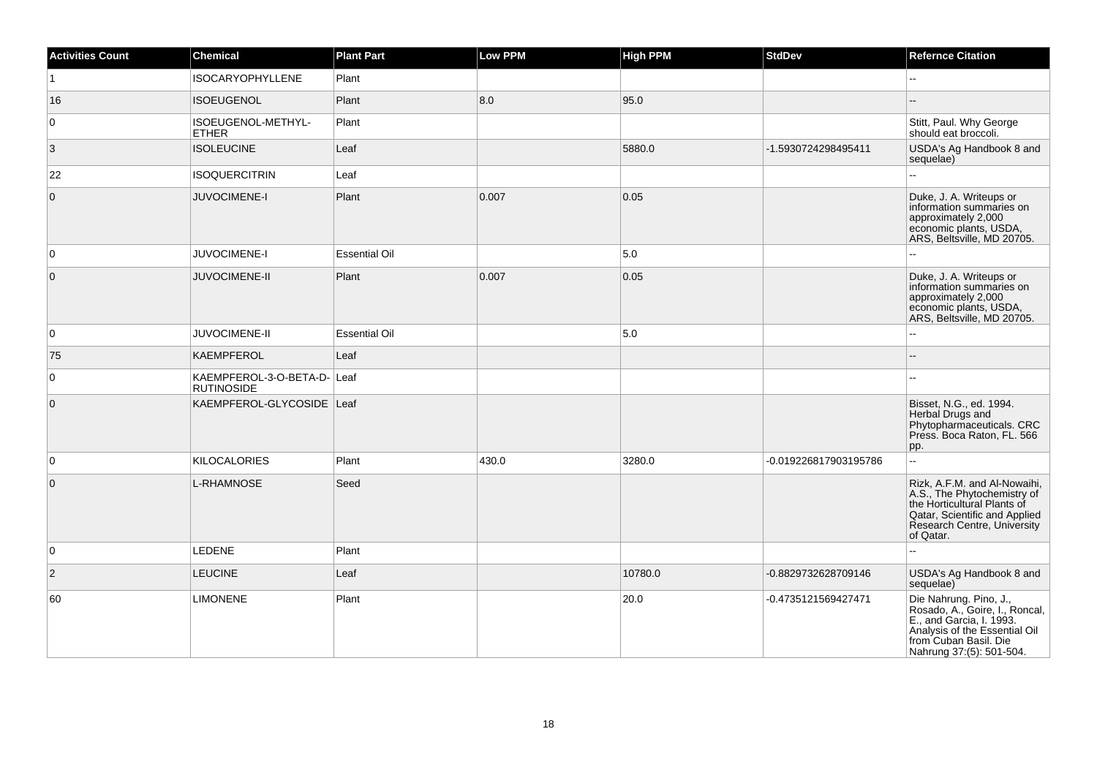| <b>Activities Count</b> | <b>Chemical</b>                             | <b>Plant Part</b>    | <b>Low PPM</b> | <b>High PPM</b> | <b>StdDev</b>         | <b>Refernce Citation</b>                                                                                                                                                   |
|-------------------------|---------------------------------------------|----------------------|----------------|-----------------|-----------------------|----------------------------------------------------------------------------------------------------------------------------------------------------------------------------|
| $\vert$ 1               | <b>ISOCARYOPHYLLENE</b>                     | Plant                |                |                 |                       | $\overline{a}$                                                                                                                                                             |
| 16                      | <b>ISOEUGENOL</b>                           | Plant                | 8.0            | 95.0            |                       |                                                                                                                                                                            |
| $\overline{0}$          | ISOEUGENOL-METHYL-<br><b>ETHER</b>          | Plant                |                |                 |                       | Stitt, Paul. Why George<br>should eat broccoli.                                                                                                                            |
| 3                       | <b>ISOLEUCINE</b>                           | Leaf                 |                | 5880.0          | -1.5930724298495411   | USDA's Ag Handbook 8 and<br>sequelae)                                                                                                                                      |
| 22                      | <b>ISOQUERCITRIN</b>                        | Leaf                 |                |                 |                       |                                                                                                                                                                            |
| $\overline{0}$          | JUVOCIMENE-I                                | Plant                | 0.007          | 0.05            |                       | Duke, J. A. Writeups or<br>information summaries on<br>approximately 2,000<br>economic plants, USDA,<br>ARS, Beltsville, MD 20705.                                         |
| $\overline{0}$          | JUVOCIMENE-I                                | <b>Essential Oil</b> |                | 5.0             |                       |                                                                                                                                                                            |
| $\overline{0}$          | <b>JUVOCIMENE-II</b>                        | Plant                | 0.007          | 0.05            |                       | Duke, J. A. Writeups or<br>information summaries on<br>approximately 2,000<br>economic plants, USDA,<br>ARS, Beltsville, MD 20705.                                         |
| $\overline{0}$          | <b>JUVOCIMENE-II</b>                        | <b>Essential Oil</b> |                | 5.0             |                       |                                                                                                                                                                            |
| 75                      | <b>KAEMPFEROL</b>                           | Leaf                 |                |                 |                       |                                                                                                                                                                            |
| $\overline{0}$          | KAEMPFEROL-3-O-BETA-D-<br><b>RUTINOSIDE</b> | Leaf                 |                |                 |                       |                                                                                                                                                                            |
| $\overline{0}$          | KAEMPFEROL-GLYCOSIDE Leaf                   |                      |                |                 |                       | Bisset, N.G., ed. 1994.<br>Herbal Drugs and<br>Phytopharmaceuticals. CRC<br>Press. Boca Raton, FL. 566<br>pp.                                                              |
| $\overline{0}$          | <b>KILOCALORIES</b>                         | Plant                | 430.0          | 3280.0          | -0.019226817903195786 | u.                                                                                                                                                                         |
| $\overline{0}$          | L-RHAMNOSE                                  | Seed                 |                |                 |                       | Rizk, A.F.M. and Al-Nowaihi,<br>A.S., The Phytochemistry of<br>the Horticultural Plants of<br>Qatar, Scientific and Applied<br>Research Centre, University<br>of Qatar.    |
| $\overline{0}$          | <b>LEDENE</b>                               | Plant                |                |                 |                       |                                                                                                                                                                            |
| $\overline{2}$          | <b>LEUCINE</b>                              | Leaf                 |                | 10780.0         | -0.8829732628709146   | USDA's Ag Handbook 8 and<br>sequelae)                                                                                                                                      |
| 60                      | <b>LIMONENE</b>                             | Plant                |                | 20.0            | -0.4735121569427471   | Die Nahrung. Pino, J.,<br>Rosado, A., Goire, I., Roncal,<br>E., and Garcia, I. 1993.<br>Analysis of the Essential Oil<br>from Cuban Basil. Die<br>Nahrung 37:(5): 501-504. |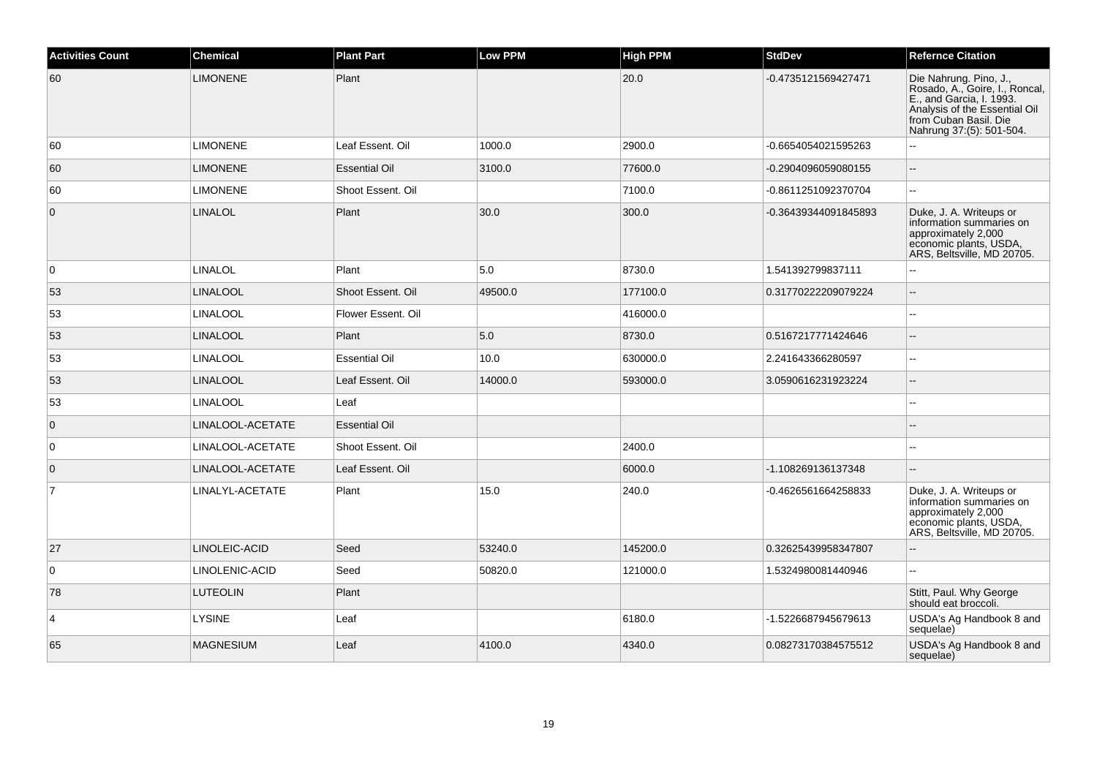| <b>Activities Count</b> | <b>Chemical</b>  | <b>Plant Part</b>    | <b>Low PPM</b> | <b>High PPM</b> | <b>StdDev</b>        | <b>Refernce Citation</b>                                                                                                                                                   |
|-------------------------|------------------|----------------------|----------------|-----------------|----------------------|----------------------------------------------------------------------------------------------------------------------------------------------------------------------------|
| 60                      | <b>LIMONENE</b>  | Plant                |                | 20.0            | -0.4735121569427471  | Die Nahrung. Pino, J.,<br>Rosado, A., Goire, I., Roncal,<br>E., and Garcia, I. 1993.<br>Analysis of the Essential Oil<br>from Cuban Basil. Die<br>Nahrung 37:(5): 501-504. |
| 60                      | <b>LIMONENE</b>  | Leaf Essent. Oil     | 1000.0         | 2900.0          | -0.6654054021595263  | ä.                                                                                                                                                                         |
| 60                      | <b>LIMONENE</b>  | <b>Essential Oil</b> | 3100.0         | 77600.0         | -0.2904096059080155  | $\overline{\phantom{a}}$                                                                                                                                                   |
| 60                      | <b>LIMONENE</b>  | Shoot Essent, Oil    |                | 7100.0          | -0.8611251092370704  |                                                                                                                                                                            |
| $\overline{0}$          | <b>LINALOL</b>   | Plant                | 30.0           | 300.0           | -0.36439344091845893 | Duke, J. A. Writeups or<br>information summaries on<br>approximately 2,000<br>economic plants, USDA,<br>ARS, Beltsville, MD 20705.                                         |
| $\overline{0}$          | <b>LINALOL</b>   | Plant                | 5.0            | 8730.0          | 1.541392799837111    |                                                                                                                                                                            |
| 53                      | <b>LINALOOL</b>  | Shoot Essent, Oil    | 49500.0        | 177100.0        | 0.31770222209079224  | $-$                                                                                                                                                                        |
| 53                      | <b>LINALOOL</b>  | Flower Essent. Oil   |                | 416000.0        |                      |                                                                                                                                                                            |
| 53                      | <b>LINALOOL</b>  | Plant                | 5.0            | 8730.0          | 0.5167217771424646   | Ξ.                                                                                                                                                                         |
| 53                      | <b>LINALOOL</b>  | <b>Essential Oil</b> | 10.0           | 630000.0        | 2.241643366280597    | $\sim$                                                                                                                                                                     |
| 53                      | <b>LINALOOL</b>  | Leaf Essent. Oil     | 14000.0        | 593000.0        | 3.0590616231923224   |                                                                                                                                                                            |
| 53                      | <b>LINALOOL</b>  | Leaf                 |                |                 |                      | $\overline{\phantom{a}}$                                                                                                                                                   |
| $\overline{0}$          | LINALOOL-ACETATE | <b>Essential Oil</b> |                |                 |                      |                                                                                                                                                                            |
| $\overline{0}$          | LINALOOL-ACETATE | Shoot Essent. Oil    |                | 2400.0          |                      |                                                                                                                                                                            |
| $\overline{0}$          | LINALOOL-ACETATE | Leaf Essent. Oil     |                | 6000.0          | -1.108269136137348   | $\overline{a}$                                                                                                                                                             |
| $\overline{7}$          | LINALYL-ACETATE  | Plant                | 15.0           | 240.0           | -0.4626561664258833  | Duke, J. A. Writeups or<br>information summaries on<br>approximately 2,000<br>economic plants, USDA,<br>ARS, Beltsville, MD 20705.                                         |
| 27                      | LINOLEIC-ACID    | Seed                 | 53240.0        | 145200.0        | 0.32625439958347807  | $\sim$                                                                                                                                                                     |
| $\overline{0}$          | LINOLENIC-ACID   | Seed                 | 50820.0        | 121000.0        | 1.5324980081440946   |                                                                                                                                                                            |
| 78                      | <b>LUTEOLIN</b>  | Plant                |                |                 |                      | Stitt, Paul. Why George<br>should eat broccoli.                                                                                                                            |
| $\overline{4}$          | <b>LYSINE</b>    | Leaf                 |                | 6180.0          | -1.5226687945679613  | USDA's Ag Handbook 8 and<br>sequelae)                                                                                                                                      |
| 65                      | <b>MAGNESIUM</b> | Leaf                 | 4100.0         | 4340.0          | 0.08273170384575512  | USDA's Ag Handbook 8 and<br>sequelae)                                                                                                                                      |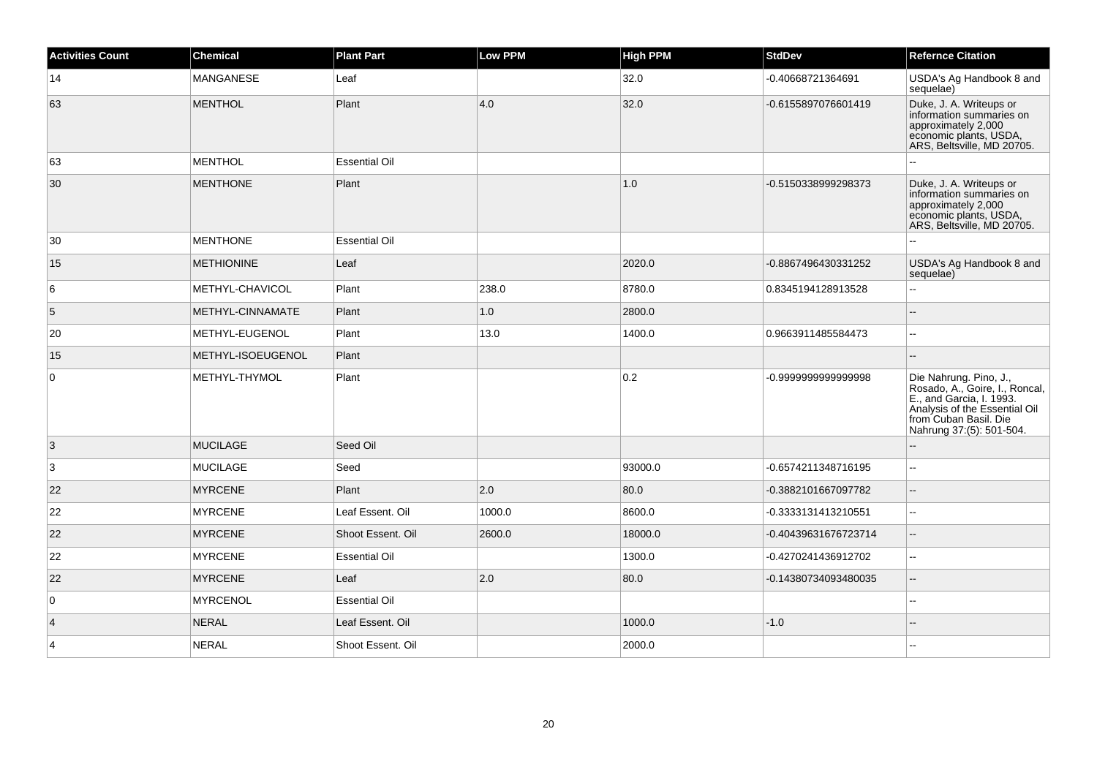| <b>Activities Count</b> | <b>Chemical</b>   | <b>Plant Part</b>    | <b>Low PPM</b> | <b>High PPM</b> | <b>StdDev</b>        | <b>Refernce Citation</b>                                                                                                                                                   |
|-------------------------|-------------------|----------------------|----------------|-----------------|----------------------|----------------------------------------------------------------------------------------------------------------------------------------------------------------------------|
| 14                      | MANGANESE         | Leaf                 |                | 32.0            | -0.40668721364691    | USDA's Ag Handbook 8 and<br>sequelae)                                                                                                                                      |
| 63                      | MENTHOL           | Plant                | 4.0            | 32.0            | -0.6155897076601419  | Duke, J. A. Writeups or<br>information summaries on<br>approximately 2,000<br>economic plants, USDA,<br>ARS, Beltsville, MD 20705.                                         |
| 63                      | <b>MENTHOL</b>    | <b>Essential Oil</b> |                |                 |                      |                                                                                                                                                                            |
| 30                      | <b>MENTHONE</b>   | Plant                |                | 1.0             | -0.5150338999298373  | Duke, J. A. Writeups or<br>information summaries on<br>approximately 2,000<br>economic plants, USDA,<br>ARS, Beltsville, MD 20705.                                         |
| 30                      | <b>MENTHONE</b>   | <b>Essential Oil</b> |                |                 |                      |                                                                                                                                                                            |
| 15                      | <b>METHIONINE</b> | Leaf                 |                | 2020.0          | -0.8867496430331252  | USDA's Ag Handbook 8 and<br>sequelae)                                                                                                                                      |
| 6                       | METHYL-CHAVICOL   | Plant                | 238.0          | 8780.0          | 0.8345194128913528   | $\sim$ $\sim$                                                                                                                                                              |
| 5                       | METHYL-CINNAMATE  | Plant                | 1.0            | 2800.0          |                      | $\mathbf{L}$                                                                                                                                                               |
| 20                      | METHYL-EUGENOL    | Plant                | 13.0           | 1400.0          | 0.9663911485584473   | $\sim$                                                                                                                                                                     |
| 15                      | METHYL-ISOEUGENOL | Plant                |                |                 |                      |                                                                                                                                                                            |
| 0                       | METHYL-THYMOL     | Plant                |                | 0.2             | -0.999999999999998   | Die Nahrung. Pino, J.,<br>Rosado, A., Goire, I., Roncal,<br>E., and Garcia, I. 1993.<br>Analysis of the Essential Oil<br>from Cuban Basil. Die<br>Nahrung 37:(5): 501-504. |
| 3                       | <b>MUCILAGE</b>   | Seed Oil             |                |                 |                      |                                                                                                                                                                            |
| 3                       | MUCILAGE          | Seed                 |                | 93000.0         | -0.6574211348716195  | $\sim$ $\sim$                                                                                                                                                              |
| 22                      | <b>MYRCENE</b>    | Plant                | 2.0            | 80.0            | -0.3882101667097782  | $\overline{\phantom{a}}$                                                                                                                                                   |
| 22                      | <b>MYRCENE</b>    | Leaf Essent. Oil     | 1000.0         | 8600.0          | -0.3333131413210551  | $\sim$                                                                                                                                                                     |
| 22                      | <b>MYRCENE</b>    | Shoot Essent. Oil    | 2600.0         | 18000.0         | -0.40439631676723714 | $\overline{\phantom{a}}$                                                                                                                                                   |
| 22                      | <b>MYRCENE</b>    | <b>Essential Oil</b> |                | 1300.0          | -0.4270241436912702  | $\mathbf{u}$                                                                                                                                                               |
| 22                      | <b>MYRCENE</b>    | Leaf                 | 2.0            | 80.0            | -0.14380734093480035 | ÷.                                                                                                                                                                         |
| $\mathbf 0$             | MYRCENOL          | <b>Essential Oil</b> |                |                 |                      |                                                                                                                                                                            |
| $\overline{4}$          | <b>NERAL</b>      | Leaf Essent. Oil     |                | 1000.0          | $-1.0$               |                                                                                                                                                                            |
| $\overline{4}$          | <b>NERAL</b>      | Shoot Essent. Oil    |                | 2000.0          |                      |                                                                                                                                                                            |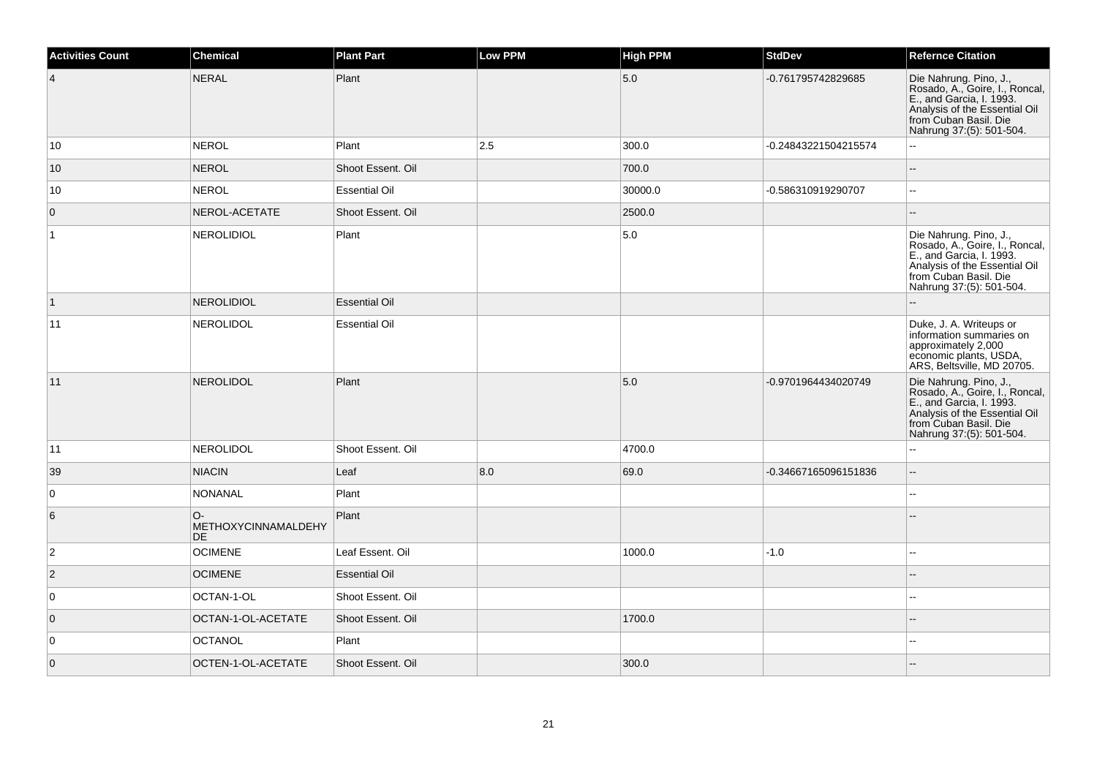| <b>Activities Count</b> | <b>Chemical</b>                          | <b>Plant Part</b>    | <b>Low PPM</b> | <b>High PPM</b> | <b>StdDev</b>        | <b>Refernce Citation</b>                                                                                                                                                   |
|-------------------------|------------------------------------------|----------------------|----------------|-----------------|----------------------|----------------------------------------------------------------------------------------------------------------------------------------------------------------------------|
| $\overline{4}$          | NERAL                                    | Plant                |                | 5.0             | -0.761795742829685   | Die Nahrung. Pino, J.,<br>Rosado, A., Goire, I., Roncal,<br>E., and Garcia, I. 1993.<br>Analysis of the Essential Oil<br>from Cuban Basil. Die<br>Nahrung 37:(5): 501-504. |
| 10                      | <b>NEROL</b>                             | Plant                | 2.5            | 300.0           | -0.24843221504215574 | $\mathbf{L}$                                                                                                                                                               |
| 10                      | NEROL                                    | Shoot Essent. Oil    |                | 700.0           |                      |                                                                                                                                                                            |
| 10                      | NEROL                                    | <b>Essential Oil</b> |                | 30000.0         | -0.586310919290707   | $\sim$                                                                                                                                                                     |
| $\overline{0}$          | NEROL-ACETATE                            | Shoot Essent. Oil    |                | 2500.0          |                      | $\sim$                                                                                                                                                                     |
| $\mathbf{1}$            | <b>NEROLIDIOL</b>                        | Plant                |                | 5.0             |                      | Die Nahrung. Pino, J.,<br>Rosado, A., Goire, I., Roncal,<br>E., and Garcia, I. 1993.<br>Analysis of the Essential Oil<br>from Cuban Basil. Die<br>Nahrung 37:(5): 501-504. |
| $\vert$ 1               | <b>NEROLIDIOL</b>                        | <b>Essential Oil</b> |                |                 |                      |                                                                                                                                                                            |
| 11                      | <b>NEROLIDOL</b>                         | <b>Essential Oil</b> |                |                 |                      | Duke, J. A. Writeups or<br>information summaries on<br>approximately 2,000<br>economic plants, USDA,<br>ARS, Beltsville, MD 20705.                                         |
| 11                      | <b>NEROLIDOL</b>                         | Plant                |                | 5.0             | -0.9701964434020749  | Die Nahrung. Pino, J.,<br>Rosado, A., Goire, I., Roncal,<br>E., and Garcia, I. 1993.<br>Analysis of the Essential Oil<br>from Cuban Basil. Die<br>Nahrung 37:(5): 501-504. |
| 11                      | <b>NEROLIDOL</b>                         | Shoot Essent. Oil    |                | 4700.0          |                      | $\sim$                                                                                                                                                                     |
| 39                      | <b>NIACIN</b>                            | Leaf                 | 8.0            | 69.0            | -0.34667165096151836 | $\sim$                                                                                                                                                                     |
| 0                       | <b>NONANAL</b>                           | Plant                |                |                 |                      |                                                                                                                                                                            |
| 6                       | $O-$<br>METHOXYCINNAMALDEHY<br><b>DE</b> | Plant                |                |                 |                      |                                                                                                                                                                            |
| $\overline{2}$          | <b>OCIMENE</b>                           | Leaf Essent. Oil     |                | 1000.0          | -1.0                 | $\overline{a}$                                                                                                                                                             |
| $\overline{2}$          | <b>OCIMENE</b>                           | <b>Essential Oil</b> |                |                 |                      |                                                                                                                                                                            |
| 0                       | OCTAN-1-OL                               | Shoot Essent. Oil    |                |                 |                      | $\overline{a}$                                                                                                                                                             |
| $\overline{0}$          | OCTAN-1-OL-ACETATE                       | Shoot Essent. Oil    |                | 1700.0          |                      |                                                                                                                                                                            |
| $\overline{0}$          | <b>OCTANOL</b>                           | Plant                |                |                 |                      | $\sim$                                                                                                                                                                     |
| $\overline{0}$          | OCTEN-1-OL-ACETATE                       | Shoot Essent. Oil    |                | 300.0           |                      |                                                                                                                                                                            |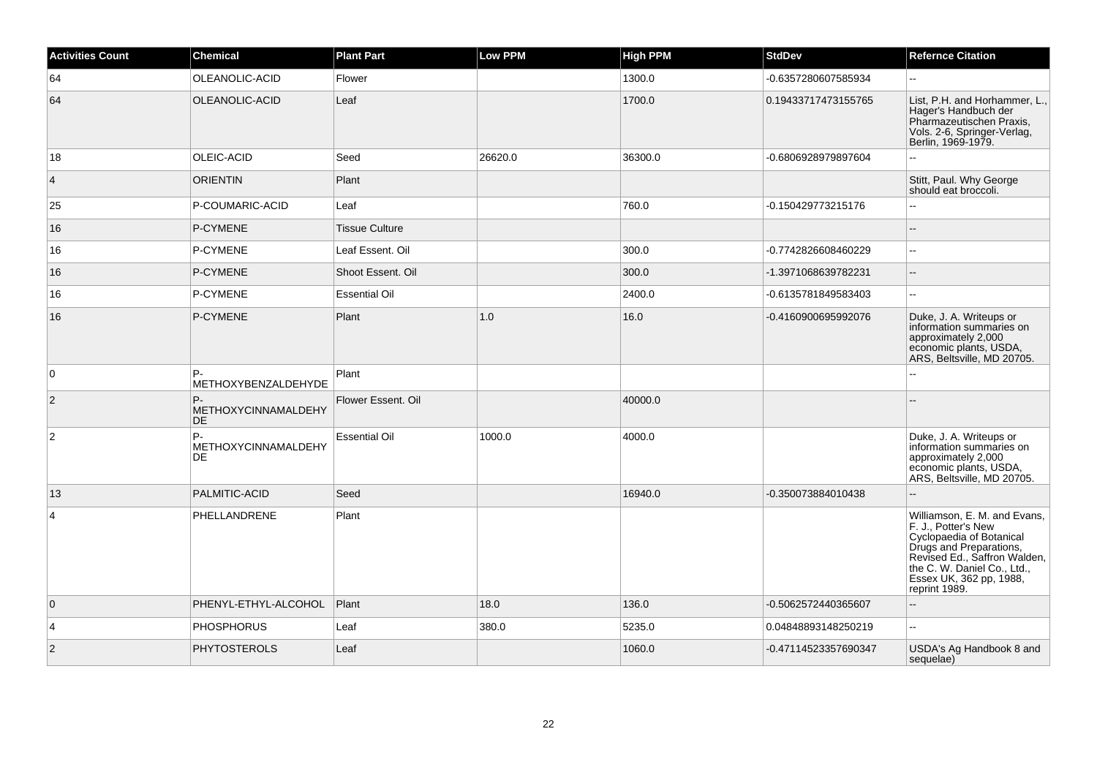| <b>Activities Count</b> | <b>Chemical</b>                        | <b>Plant Part</b>     | Low PPM | <b>High PPM</b> | <b>StdDev</b>        | <b>Refernce Citation</b>                                                                                                                                                                                              |
|-------------------------|----------------------------------------|-----------------------|---------|-----------------|----------------------|-----------------------------------------------------------------------------------------------------------------------------------------------------------------------------------------------------------------------|
| 64                      | OLEANOLIC-ACID                         | Flower                |         | 1300.0          | -0.6357280607585934  | $\sim$                                                                                                                                                                                                                |
| 64                      | OLEANOLIC-ACID                         | Leaf                  |         | 1700.0          | 0.19433717473155765  | List, P.H. and Horhammer, L.,<br>Hager's Handbuch der<br>Pharmazeutischen Praxis,<br>Vols. 2-6, Springer-Verlag,<br>Berlin, 1969-1979.                                                                                |
| 18                      | OLEIC-ACID                             | Seed                  | 26620.0 | 36300.0         | -0.6806928979897604  |                                                                                                                                                                                                                       |
| $\overline{4}$          | <b>ORIENTIN</b>                        | Plant                 |         |                 |                      | Stitt, Paul. Why George<br>should eat broccoli.                                                                                                                                                                       |
| 25                      | P-COUMARIC-ACID                        | Leaf                  |         | 760.0           | -0.150429773215176   |                                                                                                                                                                                                                       |
| 16                      | P-CYMENE                               | <b>Tissue Culture</b> |         |                 |                      |                                                                                                                                                                                                                       |
| 16                      | P-CYMENE                               | Leaf Essent. Oil      |         | 300.0           | -0.7742826608460229  | $\sim$                                                                                                                                                                                                                |
| 16                      | P-CYMENE                               | Shoot Essent. Oil     |         | 300.0           | -1.3971068639782231  | $\sim$                                                                                                                                                                                                                |
| 16                      | P-CYMENE                               | <b>Essential Oil</b>  |         | 2400.0          | -0.6135781849583403  | $\sim$                                                                                                                                                                                                                |
| 16                      | P-CYMENE                               | Plant                 | 1.0     | 16.0            | -0.4160900695992076  | Duke, J. A. Writeups or<br>information summaries on<br>approximately 2,000<br>economic plants, USDA,<br>ARS, Beltsville, MD 20705.                                                                                    |
| $\overline{0}$          | P-<br>METHOXYBENZALDEHYDE              | Plant                 |         |                 |                      |                                                                                                                                                                                                                       |
| $\overline{2}$          | P-<br>METHOXYCINNAMALDEHY<br><b>DE</b> | Flower Essent, Oil    |         | 40000.0         |                      |                                                                                                                                                                                                                       |
| $\overline{2}$          | P-<br>METHOXYCINNAMALDEHY<br>DE.       | <b>Essential Oil</b>  | 1000.0  | 4000.0          |                      | Duke, J. A. Writeups or<br>information summaries on<br>approximately 2,000<br>economic plants, USDA,<br>ARS, Beltsville, MD 20705.                                                                                    |
| 13                      | <b>PALMITIC-ACID</b>                   | Seed                  |         | 16940.0         | -0.350073884010438   | $\overline{a}$                                                                                                                                                                                                        |
| $\overline{4}$          | PHELLANDRENE                           | Plant                 |         |                 |                      | Williamson, E. M. and Evans,<br>F. J., Potter's New<br>Cyclopaedia of Botanical<br>Drugs and Preparations,<br>Revised Ed., Saffron Walden,<br>the C. W. Daniel Co., Ltd.,<br>Essex UK, 362 pp, 1988,<br>reprint 1989. |
| $\overline{0}$          | PHENYL-ETHYL-ALCOHOL                   | Plant                 | 18.0    | 136.0           | -0.5062572440365607  |                                                                                                                                                                                                                       |
| $\overline{4}$          | <b>PHOSPHORUS</b>                      | Leaf                  | 380.0   | 5235.0          | 0.04848893148250219  | $\overline{a}$                                                                                                                                                                                                        |
| $\overline{2}$          | <b>PHYTOSTEROLS</b>                    | Leaf                  |         | 1060.0          | -0.47114523357690347 | USDA's Ag Handbook 8 and<br>sequelae)                                                                                                                                                                                 |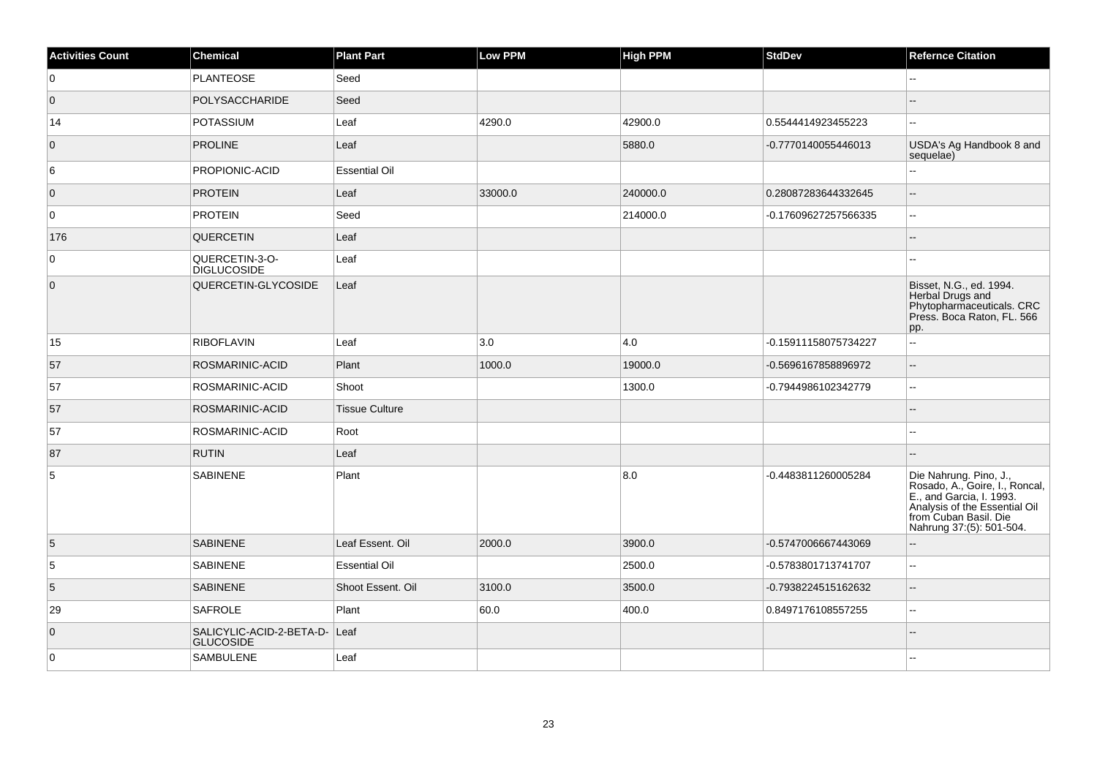| <b>Activities Count</b> | Chemical                                     | <b>Plant Part</b>     | Low PPM | <b>High PPM</b> | <b>StdDev</b>        | <b>Refernce Citation</b>                                                                                                                                                   |
|-------------------------|----------------------------------------------|-----------------------|---------|-----------------|----------------------|----------------------------------------------------------------------------------------------------------------------------------------------------------------------------|
| 0                       | <b>PLANTEOSE</b>                             | Seed                  |         |                 |                      |                                                                                                                                                                            |
| $\overline{0}$          | POLYSACCHARIDE                               | Seed                  |         |                 |                      |                                                                                                                                                                            |
| 14                      | POTASSIUM                                    | Leaf                  | 4290.0  | 42900.0         | 0.5544414923455223   | ۵۵                                                                                                                                                                         |
| $\mathbf{0}$            | <b>PROLINE</b>                               | Leaf                  |         | 5880.0          | -0.7770140055446013  | USDA's Ag Handbook 8 and<br>sequelae)                                                                                                                                      |
| 6                       | PROPIONIC-ACID                               | <b>Essential Oil</b>  |         |                 |                      | L.                                                                                                                                                                         |
| $\overline{0}$          | <b>PROTEIN</b>                               | Leaf                  | 33000.0 | 240000.0        | 0.28087283644332645  | --                                                                                                                                                                         |
| 0                       | <b>PROTEIN</b>                               | Seed                  |         | 214000.0        | -0.17609627257566335 | ш,                                                                                                                                                                         |
| 176                     | <b>QUERCETIN</b>                             | Leaf                  |         |                 |                      | $\overline{a}$                                                                                                                                                             |
| 0                       | QUERCETIN-3-O-<br><b>DIGLUCOSIDE</b>         | Leaf                  |         |                 |                      |                                                                                                                                                                            |
| $\overline{0}$          | QUERCETIN-GLYCOSIDE                          | Leaf                  |         |                 |                      | Bisset, N.G., ed. 1994.<br>Herbal Drugs and<br>Phytopharmaceuticals. CRC<br>Press. Boca Raton, FL. 566<br>pp.                                                              |
| 15                      | RIBOFLAVIN                                   | Leaf                  | 3.0     | 4.0             | -0.15911158075734227 | u.                                                                                                                                                                         |
| 57                      | ROSMARINIC-ACID                              | Plant                 | 1000.0  | 19000.0         | -0.5696167858896972  | --                                                                                                                                                                         |
| 57                      | ROSMARINIC-ACID                              | Shoot                 |         | 1300.0          | -0.7944986102342779  | --                                                                                                                                                                         |
| 57                      | ROSMARINIC-ACID                              | <b>Tissue Culture</b> |         |                 |                      |                                                                                                                                                                            |
| 57                      | ROSMARINIC-ACID                              | Root                  |         |                 |                      |                                                                                                                                                                            |
| 87                      | <b>RUTIN</b>                                 | Leaf                  |         |                 |                      |                                                                                                                                                                            |
| 5                       | <b>SABINENE</b>                              | Plant                 |         | 8.0             | -0.4483811260005284  | Die Nahrung. Pino, J.,<br>Rosado, A., Goire, I., Roncal,<br>E., and Garcia, I. 1993.<br>Analysis of the Essential Oil<br>from Cuban Basil. Die<br>Nahrung 37:(5): 501-504. |
| 5                       | <b>SABINENE</b>                              | Leaf Essent. Oil      | 2000.0  | 3900.0          | -0.5747006667443069  | $\overline{a}$                                                                                                                                                             |
| 5                       | <b>SABINENE</b>                              | <b>Essential Oil</b>  |         | 2500.0          | -0.5783801713741707  | ш,                                                                                                                                                                         |
| $\overline{5}$          | <b>SABINENE</b>                              | Shoot Essent, Oil     | 3100.0  | 3500.0          | -0.7938224515162632  | ц,                                                                                                                                                                         |
| 29                      | SAFROLE                                      | Plant                 | 60.0    | 400.0           | 0.8497176108557255   | ш,                                                                                                                                                                         |
| $\overline{0}$          | SALICYLIC-ACID-2-BETA-D-<br><b>GLUCOSIDE</b> | Leaf                  |         |                 |                      |                                                                                                                                                                            |
| $\mathbf 0$             | <b>SAMBULENE</b>                             | Leaf                  |         |                 |                      |                                                                                                                                                                            |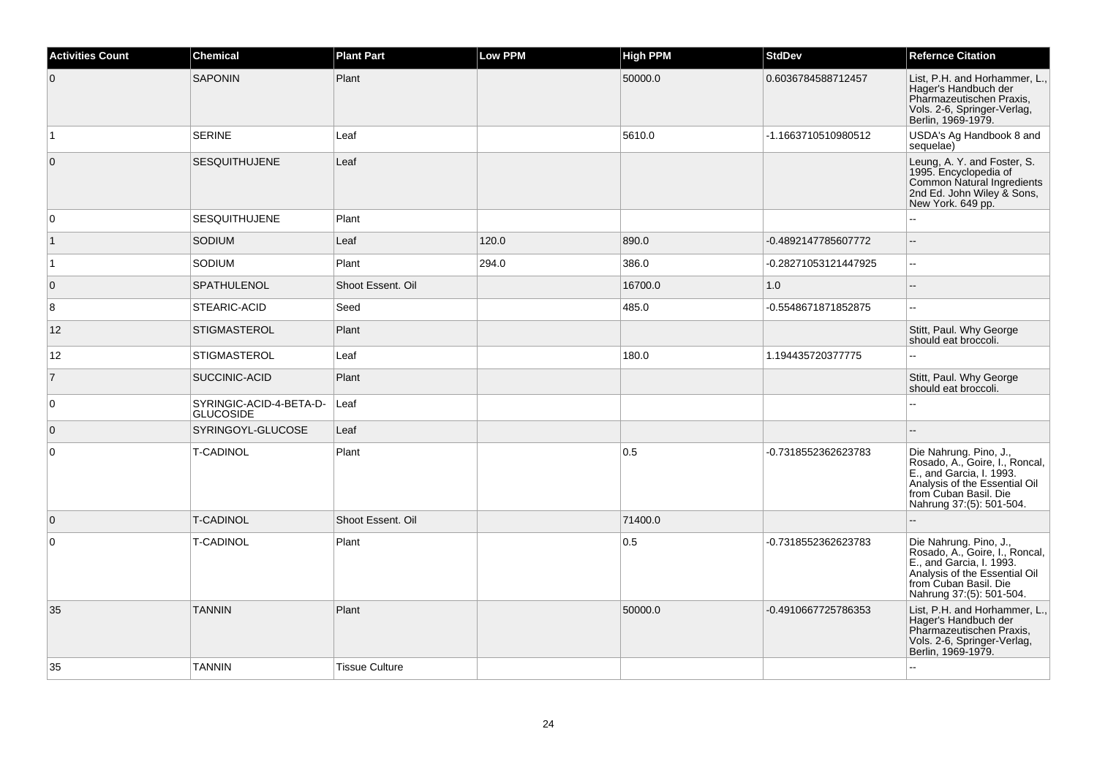| <b>Activities Count</b> | <b>Chemical</b>                             | <b>Plant Part</b>     | <b>Low PPM</b> | <b>High PPM</b> | <b>StdDev</b>        | <b>Refernce Citation</b>                                                                                                                                                   |
|-------------------------|---------------------------------------------|-----------------------|----------------|-----------------|----------------------|----------------------------------------------------------------------------------------------------------------------------------------------------------------------------|
| $\overline{0}$          | <b>SAPONIN</b>                              | Plant                 |                | 50000.0         | 0.6036784588712457   | List, P.H. and Horhammer, L.,<br>Hager's Handbuch der<br>Pharmazeutischen Praxis,<br>Vols. 2-6, Springer-Verlag,<br>Berlin, 1969-1979.                                     |
| $\mathbf{1}$            | <b>SERINE</b>                               | Leaf                  |                | 5610.0          | -1.1663710510980512  | USDA's Ag Handbook 8 and<br>sequelae)                                                                                                                                      |
| $\overline{0}$          | <b>SESQUITHUJENE</b>                        | Leaf                  |                |                 |                      | Leung, A. Y. and Foster, S.<br>1995. Encyclopedia of<br>Common Natural Ingredients<br>2nd Ed. John Wiley & Sons,<br>New York. 649 pp.                                      |
| $\overline{0}$          | <b>SESQUITHUJENE</b>                        | Plant                 |                |                 |                      |                                                                                                                                                                            |
| $\overline{1}$          | SODIUM                                      | Leaf                  | 120.0          | 890.0           | -0.4892147785607772  | $\sim$                                                                                                                                                                     |
| $\overline{1}$          | SODIUM                                      | Plant                 | 294.0          | 386.0           | -0.28271053121447925 | $\overline{\phantom{a}}$                                                                                                                                                   |
| $\overline{0}$          | SPATHULENOL                                 | Shoot Essent. Oil     |                | 16700.0         | 1.0                  | ÷.                                                                                                                                                                         |
| 8                       | STEARIC-ACID                                | Seed                  |                | 485.0           | -0.5548671871852875  | $\sim$                                                                                                                                                                     |
| 12                      | <b>STIGMASTEROL</b>                         | Plant                 |                |                 |                      | Stitt, Paul. Why George<br>should eat broccoli.                                                                                                                            |
| 12                      | <b>STIGMASTEROL</b>                         | Leaf                  |                | 180.0           | 1.194435720377775    |                                                                                                                                                                            |
| $\overline{7}$          | SUCCINIC-ACID                               | Plant                 |                |                 |                      | Stitt, Paul. Why George<br>should eat broccoli.                                                                                                                            |
| $\overline{0}$          | SYRINGIC-ACID-4-BETA-D-<br><b>GLUCOSIDE</b> | Leaf                  |                |                 |                      |                                                                                                                                                                            |
| $\overline{0}$          | SYRINGOYL-GLUCOSE                           | Leaf                  |                |                 |                      |                                                                                                                                                                            |
| $\overline{0}$          | <b>T-CADINOL</b>                            | Plant                 |                | 0.5             | -0.7318552362623783  | Die Nahrung. Pino, J.,<br>Rosado, A., Goire, I., Roncal,<br>E., and Garcia, I. 1993.<br>Analysis of the Essential Oil<br>from Cuban Basil. Die<br>Nahrung 37:(5): 501-504. |
| $\overline{0}$          | <b>T-CADINOL</b>                            | Shoot Essent. Oil     |                | 71400.0         |                      |                                                                                                                                                                            |
| $\overline{0}$          | <b>T-CADINOL</b>                            | Plant                 |                | 0.5             | -0.7318552362623783  | Die Nahrung. Pino, J.,<br>Rosado, A., Goire, I., Roncal,<br>E., and Garcia, I. 1993.<br>Analysis of the Essential Oil<br>from Cuban Basil, Die<br>Nahrung 37:(5): 501-504. |
| 35                      | <b>TANNIN</b>                               | Plant                 |                | 50000.0         | -0.4910667725786353  | List, P.H. and Horhammer, L.,<br>Hager's Handbuch der<br>Pharmazeutischen Praxis,<br>Vols. 2-6, Springer-Verlag,<br>Berlin, 1969-1979.                                     |
| 35                      | <b>TANNIN</b>                               | <b>Tissue Culture</b> |                |                 |                      |                                                                                                                                                                            |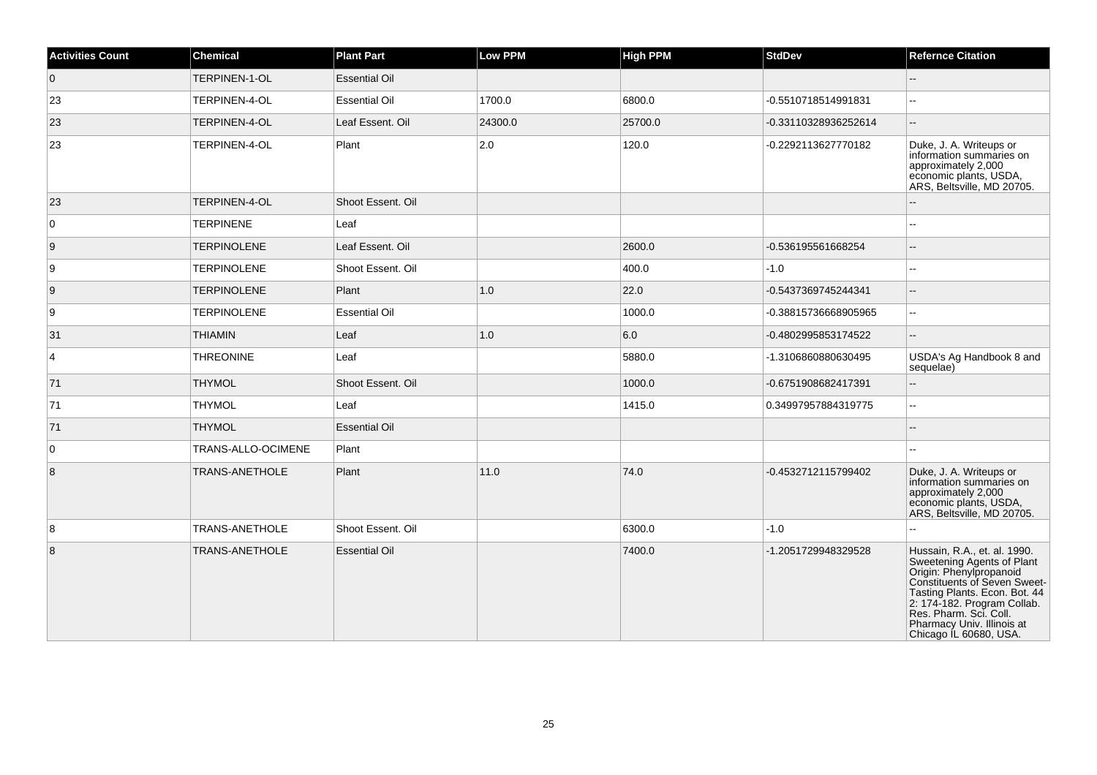| <b>Activities Count</b> | <b>Chemical</b>       | <b>Plant Part</b>    | Low PPM | <b>High PPM</b> | <b>StdDev</b>        | <b>Refernce Citation</b>                                                                                                                                                                                                                                                |
|-------------------------|-----------------------|----------------------|---------|-----------------|----------------------|-------------------------------------------------------------------------------------------------------------------------------------------------------------------------------------------------------------------------------------------------------------------------|
| $\overline{0}$          | <b>TERPINEN-1-OL</b>  | <b>Essential Oil</b> |         |                 |                      | $\overline{a}$                                                                                                                                                                                                                                                          |
| 23                      | TERPINEN-4-OL         | <b>Essential Oil</b> | 1700.0  | 6800.0          | -0.5510718514991831  | --                                                                                                                                                                                                                                                                      |
| 23                      | TERPINEN-4-OL         | Leaf Essent. Oil     | 24300.0 | 25700.0         | -0.33110328936252614 |                                                                                                                                                                                                                                                                         |
| 23                      | TERPINEN-4-OL         | Plant                | 2.0     | 120.0           | -0.2292113627770182  | Duke, J. A. Writeups or<br>information summaries on<br>approximately 2,000<br>economic plants, USDA,<br>ARS, Beltsville, MD 20705.                                                                                                                                      |
| 23                      | TERPINEN-4-OL         | Shoot Essent, Oil    |         |                 |                      |                                                                                                                                                                                                                                                                         |
| 0                       | <b>TERPINENE</b>      | Leaf                 |         |                 |                      | ц,                                                                                                                                                                                                                                                                      |
| 9                       | <b>TERPINOLENE</b>    | Leaf Essent. Oil     |         | 2600.0          | -0.536195561668254   | $\overline{a}$                                                                                                                                                                                                                                                          |
| 9                       | <b>TERPINOLENE</b>    | Shoot Essent. Oil    |         | 400.0           | $-1.0$               | ż.                                                                                                                                                                                                                                                                      |
| 9                       | <b>TERPINOLENE</b>    | Plant                | 1.0     | 22.0            | -0.5437369745244341  |                                                                                                                                                                                                                                                                         |
| 9                       | <b>TERPINOLENE</b>    | <b>Essential Oil</b> |         | 1000.0          | -0.38815736668905965 | L.                                                                                                                                                                                                                                                                      |
| 31                      | <b>THIAMIN</b>        | Leaf                 | 1.0     | 6.0             | -0.4802995853174522  | $\mathbf{u}$                                                                                                                                                                                                                                                            |
| $\overline{4}$          | <b>THREONINE</b>      | Leaf                 |         | 5880.0          | -1.3106860880630495  | USDA's Ag Handbook 8 and<br>sequelae)                                                                                                                                                                                                                                   |
| 71                      | <b>THYMOL</b>         | Shoot Essent. Oil    |         | 1000.0          | -0.6751908682417391  | Щ.                                                                                                                                                                                                                                                                      |
| 71                      | <b>THYMOL</b>         | Leaf                 |         | 1415.0          | 0.34997957884319775  | Ξ.                                                                                                                                                                                                                                                                      |
| 71                      | <b>THYMOL</b>         | <b>Essential Oil</b> |         |                 |                      |                                                                                                                                                                                                                                                                         |
| $\mathbf 0$             | TRANS-ALLO-OCIMENE    | Plant                |         |                 |                      |                                                                                                                                                                                                                                                                         |
| 8                       | TRANS-ANETHOLE        | Plant                | 11.0    | 74.0            | -0.4532712115799402  | Duke, J. A. Writeups or<br>information summaries on<br>approximately 2,000<br>economic plants, USDA,<br>ARS, Beltsville, MD 20705.                                                                                                                                      |
| 8                       | <b>TRANS-ANETHOLE</b> | Shoot Essent, Oil    |         | 6300.0          | $-1.0$               |                                                                                                                                                                                                                                                                         |
| 8                       | TRANS-ANETHOLE        | <b>Essential Oil</b> |         | 7400.0          | -1.2051729948329528  | Hussain, R.A., et. al. 1990.<br>Sweetening Agents of Plant<br>Origin: Phenylpropanoid<br>Constituents of Seven Sweet-<br>Tasting Plants. Econ. Bot. 44<br>2: 174-182. Program Collab.<br>Res. Pharm. Sci. Coll.<br>Pharmacy Univ. Illinois at<br>Chicago IL 60680, USA. |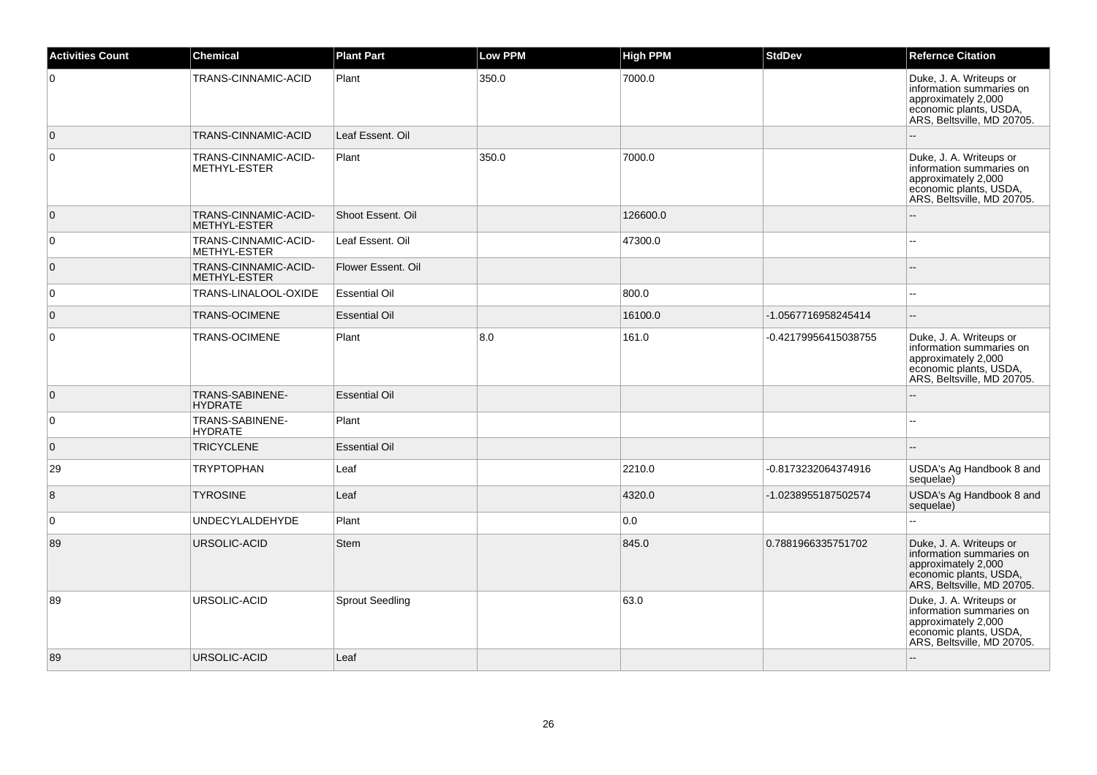| <b>Activities Count</b> | <b>Chemical</b>                      | <b>Plant Part</b>      | <b>Low PPM</b> | <b>High PPM</b> | <b>StdDev</b>        | <b>Refernce Citation</b>                                                                                                           |
|-------------------------|--------------------------------------|------------------------|----------------|-----------------|----------------------|------------------------------------------------------------------------------------------------------------------------------------|
| $\overline{0}$          | TRANS-CINNAMIC-ACID                  | Plant                  | 350.0          | 7000.0          |                      | Duke, J. A. Writeups or<br>information summaries on<br>approximately 2,000<br>economic plants, USDA,<br>ARS, Beltsville, MD 20705. |
| $\overline{0}$          | TRANS-CINNAMIC-ACID                  | Leaf Essent. Oil       |                |                 |                      |                                                                                                                                    |
| $\overline{0}$          | TRANS-CINNAMIC-ACID-<br>METHYL-ESTER | Plant                  | 350.0          | 7000.0          |                      | Duke, J. A. Writeups or<br>information summaries on<br>approximately 2,000<br>economic plants, USDA,<br>ARS, Beltsville, MD 20705. |
| $\overline{0}$          | TRANS-CINNAMIC-ACID-<br>METHYL-ESTER | Shoot Essent, Oil      |                | 126600.0        |                      |                                                                                                                                    |
| $\overline{0}$          | TRANS-CINNAMIC-ACID-<br>METHYL-ESTER | Leaf Essent. Oil       |                | 47300.0         |                      |                                                                                                                                    |
| $\overline{0}$          | TRANS-CINNAMIC-ACID-<br>METHYL-ESTER | Flower Essent. Oil     |                |                 |                      | $\sim$                                                                                                                             |
| $\overline{0}$          | TRANS-LINALOOL-OXIDE                 | <b>Essential Oil</b>   |                | 800.0           |                      | $\sim$                                                                                                                             |
| $\overline{0}$          | <b>TRANS-OCIMENE</b>                 | <b>Essential Oil</b>   |                | 16100.0         | -1.0567716958245414  | $\overline{\phantom{a}}$                                                                                                           |
| $\overline{0}$          | TRANS-OCIMENE                        | Plant                  | 8.0            | 161.0           | -0.42179956415038755 | Duke, J. A. Writeups or<br>information summaries on<br>approximately 2,000<br>economic plants, USDA,<br>ARS, Beltsville, MD 20705. |
| $\overline{0}$          | TRANS-SABINENE-<br><b>HYDRATE</b>    | <b>Essential Oil</b>   |                |                 |                      |                                                                                                                                    |
| $\overline{0}$          | TRANS-SABINENE-<br><b>HYDRATE</b>    | Plant                  |                |                 |                      |                                                                                                                                    |
| $\overline{0}$          | <b>TRICYCLENE</b>                    | <b>Essential Oil</b>   |                |                 |                      |                                                                                                                                    |
| 29                      | <b>TRYPTOPHAN</b>                    | Leaf                   |                | 2210.0          | -0.8173232064374916  | USDA's Ag Handbook 8 and<br>sequelae)                                                                                              |
| 8                       | <b>TYROSINE</b>                      | Leaf                   |                | 4320.0          | -1.0238955187502574  | USDA's Ag Handbook 8 and<br>sequelae)                                                                                              |
| $\mathbf 0$             | <b>UNDECYLALDEHYDE</b>               | Plant                  |                | 0.0             |                      |                                                                                                                                    |
| 89                      | URSOLIC-ACID                         | Stem                   |                | 845.0           | 0.7881966335751702   | Duke, J. A. Writeups or<br>information summaries on<br>approximately 2,000<br>economic plants, USDA,<br>ARS, Beltsville, MD 20705. |
| 89                      | URSOLIC-ACID                         | <b>Sprout Seedling</b> |                | 63.0            |                      | Duke, J. A. Writeups or<br>information summaries on<br>approximately 2,000<br>economic plants, USDA,<br>ARS, Beltsville, MD 20705. |
| 89                      | URSOLIC-ACID                         | Leaf                   |                |                 |                      |                                                                                                                                    |